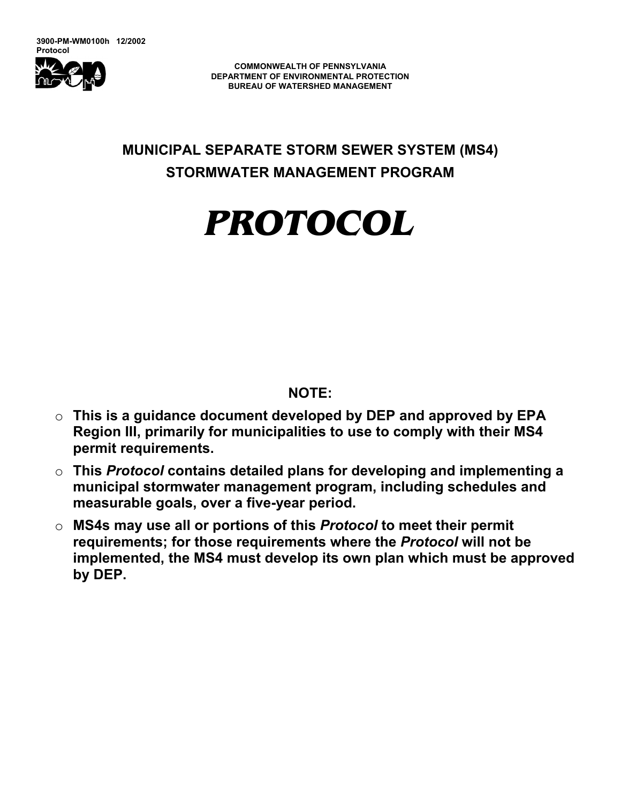

**COMMONWEALTH OF PENNSYLVANIA DEPARTMENT OF ENVIRONMENTAL PROTECTION BUREAU OF WATERSHED MANAGEMENT**

**MUNICIPAL SEPARATE STORM SEWER SYSTEM (MS4) STORMWATER MANAGEMENT PROGRAM** 

# *PROTOCOL*

# **NOTE:**

- o **This is a guidance document developed by DEP and approved by EPA Region III, primarily for municipalities to use to comply with their MS4 permit requirements.**
- o **This** *Protocol* **contains detailed plans for developing and implementing a municipal stormwater management program, including schedules and measurable goals, over a five-year period.**
- o **MS4s may use all or portions of this** *Protocol* **to meet their permit requirements; for those requirements where the** *Protocol* **will not be implemented, the MS4 must develop its own plan which must be approved by DEP.**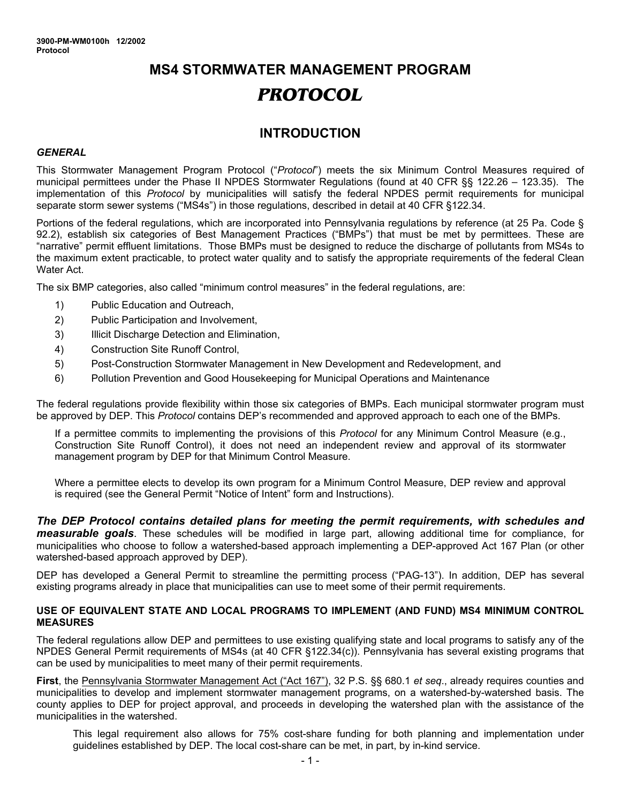# **MS4 STORMWATER MANAGEMENT PROGRAM**  *PROTOCOL*

# **INTRODUCTION**

#### *GENERAL*

This Stormwater Management Program Protocol ("*Protocol*") meets the six Minimum Control Measures required of municipal permittees under the Phase II NPDES Stormwater Regulations (found at 40 CFR §§ 122.26 – 123.35). The implementation of this *Protocol* by municipalities will satisfy the federal NPDES permit requirements for municipal separate storm sewer systems ("MS4s") in those regulations, described in detail at 40 CFR §122.34.

Portions of the federal regulations, which are incorporated into Pennsylvania regulations by reference (at 25 Pa. Code § 92.2), establish six categories of Best Management Practices ("BMPs") that must be met by permittees. These are "narrative" permit effluent limitations. Those BMPs must be designed to reduce the discharge of pollutants from MS4s to the maximum extent practicable, to protect water quality and to satisfy the appropriate requirements of the federal Clean Water Act.

The six BMP categories, also called "minimum control measures" in the federal regulations, are:

- 1) Public Education and Outreach,
- 2) Public Participation and Involvement,
- 3) Illicit Discharge Detection and Elimination,
- 4) Construction Site Runoff Control,
- 5) Post-Construction Stormwater Management in New Development and Redevelopment, and
- 6) Pollution Prevention and Good Housekeeping for Municipal Operations and Maintenance

The federal regulations provide flexibility within those six categories of BMPs. Each municipal stormwater program must be approved by DEP. This *Protocol* contains DEP's recommended and approved approach to each one of the BMPs.

If a permittee commits to implementing the provisions of this *Protocol* for any Minimum Control Measure (e.g., Construction Site Runoff Control), it does not need an independent review and approval of its stormwater management program by DEP for that Minimum Control Measure.

Where a permittee elects to develop its own program for a Minimum Control Measure, DEP review and approval is required (see the General Permit "Notice of Intent" form and Instructions).

*The DEP Protocol contains detailed plans for meeting the permit requirements, with schedules and measurable goals*. These schedules will be modified in large part, allowing additional time for compliance, for municipalities who choose to follow a watershed-based approach implementing a DEP-approved Act 167 Plan (or other watershed-based approach approved by DEP).

DEP has developed a General Permit to streamline the permitting process ("PAG-13"). In addition, DEP has several existing programs already in place that municipalities can use to meet some of their permit requirements.

#### **USE OF EQUIVALENT STATE AND LOCAL PROGRAMS TO IMPLEMENT (AND FUND) MS4 MINIMUM CONTROL MEASURES**

The federal regulations allow DEP and permittees to use existing qualifying state and local programs to satisfy any of the NPDES General Permit requirements of MS4s (at 40 CFR §122.34(c)). Pennsylvania has several existing programs that can be used by municipalities to meet many of their permit requirements.

**First**, the Pennsylvania Stormwater Management Act ("Act 167"), 32 P.S. §§ 680.1 *et seq*., already requires counties and municipalities to develop and implement stormwater management programs, on a watershed-by-watershed basis. The county applies to DEP for project approval, and proceeds in developing the watershed plan with the assistance of the municipalities in the watershed.

This legal requirement also allows for 75% cost-share funding for both planning and implementation under guidelines established by DEP. The local cost-share can be met, in part, by in-kind service.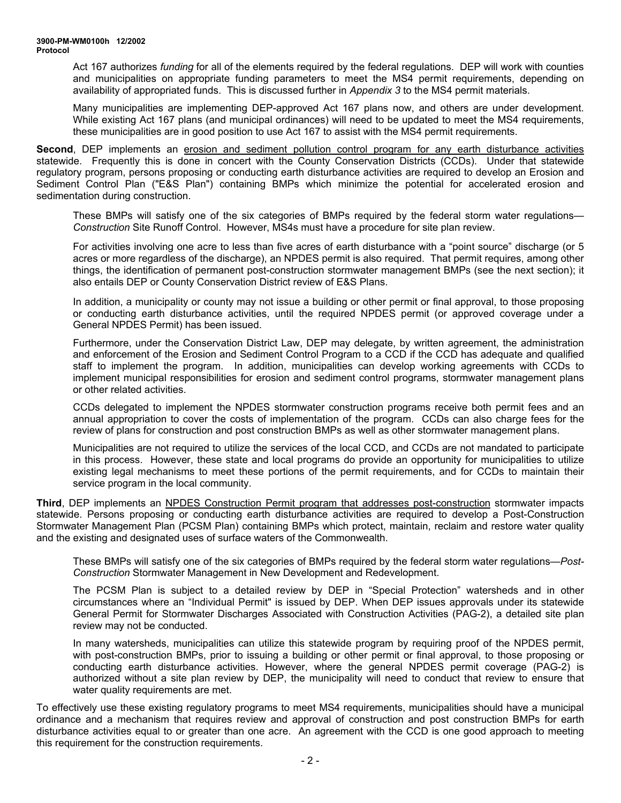Act 167 authorizes *funding* for all of the elements required by the federal regulations. DEP will work with counties and municipalities on appropriate funding parameters to meet the MS4 permit requirements, depending on availability of appropriated funds. This is discussed further in *Appendix 3* to the MS4 permit materials.

Many municipalities are implementing DEP-approved Act 167 plans now, and others are under development. While existing Act 167 plans (and municipal ordinances) will need to be updated to meet the MS4 requirements, these municipalities are in good position to use Act 167 to assist with the MS4 permit requirements.

**Second**, DEP implements an erosion and sediment pollution control program for any earth disturbance activities statewide. Frequently this is done in concert with the County Conservation Districts (CCDs). Under that statewide regulatory program, persons proposing or conducting earth disturbance activities are required to develop an Erosion and Sediment Control Plan ("E&S Plan") containing BMPs which minimize the potential for accelerated erosion and sedimentation during construction.

These BMPs will satisfy one of the six categories of BMPs required by the federal storm water regulations— *Construction* Site Runoff Control. However, MS4s must have a procedure for site plan review.

For activities involving one acre to less than five acres of earth disturbance with a "point source" discharge (or 5 acres or more regardless of the discharge), an NPDES permit is also required. That permit requires, among other things, the identification of permanent post-construction stormwater management BMPs (see the next section); it also entails DEP or County Conservation District review of E&S Plans.

In addition, a municipality or county may not issue a building or other permit or final approval, to those proposing or conducting earth disturbance activities, until the required NPDES permit (or approved coverage under a General NPDES Permit) has been issued.

Furthermore, under the Conservation District Law, DEP may delegate, by written agreement, the administration and enforcement of the Erosion and Sediment Control Program to a CCD if the CCD has adequate and qualified staff to implement the program. In addition, municipalities can develop working agreements with CCDs to implement municipal responsibilities for erosion and sediment control programs, stormwater management plans or other related activities.

CCDs delegated to implement the NPDES stormwater construction programs receive both permit fees and an annual appropriation to cover the costs of implementation of the program. CCDs can also charge fees for the review of plans for construction and post construction BMPs as well as other stormwater management plans.

Municipalities are not required to utilize the services of the local CCD, and CCDs are not mandated to participate in this process. However, these state and local programs do provide an opportunity for municipalities to utilize existing legal mechanisms to meet these portions of the permit requirements, and for CCDs to maintain their service program in the local community.

**Third**, DEP implements an NPDES Construction Permit program that addresses post-construction stormwater impacts statewide. Persons proposing or conducting earth disturbance activities are required to develop a Post-Construction Stormwater Management Plan (PCSM Plan) containing BMPs which protect, maintain, reclaim and restore water quality and the existing and designated uses of surface waters of the Commonwealth.

These BMPs will satisfy one of the six categories of BMPs required by the federal storm water regulations—*Post-Construction* Stormwater Management in New Development and Redevelopment.

The PCSM Plan is subject to a detailed review by DEP in "Special Protection" watersheds and in other circumstances where an "Individual Permit" is issued by DEP. When DEP issues approvals under its statewide General Permit for Stormwater Discharges Associated with Construction Activities (PAG-2), a detailed site plan review may not be conducted.

In many watersheds, municipalities can utilize this statewide program by requiring proof of the NPDES permit, with post-construction BMPs, prior to issuing a building or other permit or final approval, to those proposing or conducting earth disturbance activities. However, where the general NPDES permit coverage (PAG-2) is authorized without a site plan review by DEP, the municipality will need to conduct that review to ensure that water quality requirements are met.

To effectively use these existing regulatory programs to meet MS4 requirements, municipalities should have a municipal ordinance and a mechanism that requires review and approval of construction and post construction BMPs for earth disturbance activities equal to or greater than one acre. An agreement with the CCD is one good approach to meeting this requirement for the construction requirements.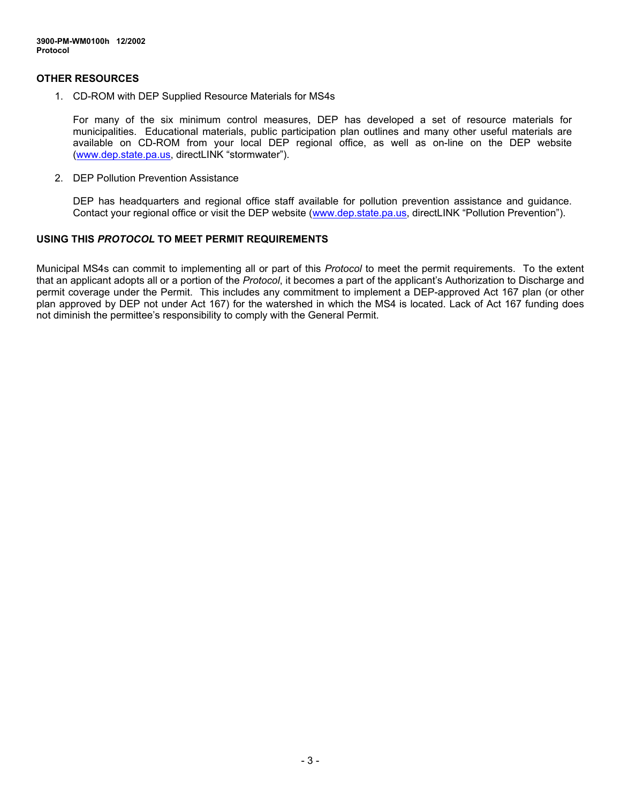#### **OTHER RESOURCES**

1. CD-ROM with DEP Supplied Resource Materials for MS4s

For many of the six minimum control measures, DEP has developed a set of resource materials for municipalities. Educational materials, public participation plan outlines and many other useful materials are available on CD-ROM from your local DEP regional office, as well as on-line on the DEP website [\(www.dep.state.pa.us](http://www.dep.state.pa.us/), directLINK "stormwater").

2. DEP Pollution Prevention Assistance

DEP has headquarters and regional office staff available for pollution prevention assistance and guidance. Contact your regional office or visit the DEP website [\(www.dep.state.pa.us](http://www.dep.state.pa.us/), directLINK "Pollution Prevention").

#### **USING THIS** *PROTOCOL* **TO MEET PERMIT REQUIREMENTS**

Municipal MS4s can commit to implementing all or part of this *Protocol* to meet the permit requirements. To the extent that an applicant adopts all or a portion of the *Protocol*, it becomes a part of the applicant's Authorization to Discharge and permit coverage under the Permit. This includes any commitment to implement a DEP-approved Act 167 plan (or other plan approved by DEP not under Act 167) for the watershed in which the MS4 is located. Lack of Act 167 funding does not diminish the permittee's responsibility to comply with the General Permit.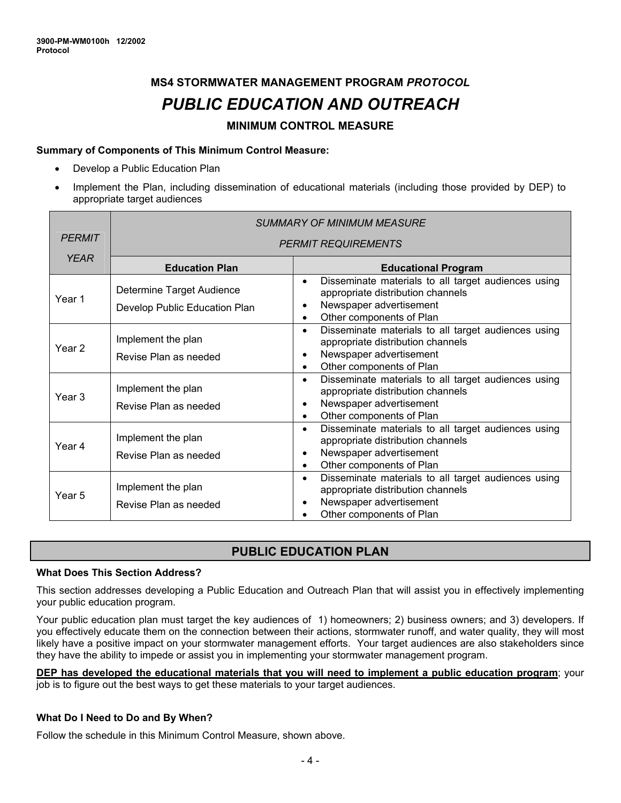# **MS4 STORMWATER MANAGEMENT PROGRAM** *PROTOCOL PUBLIC EDUCATION AND OUTREACH*  **MINIMUM CONTROL MEASURE**

#### **Summary of Components of This Minimum Control Measure:**

- Develop a Public Education Plan
- Implement the Plan, including dissemination of educational materials (including those provided by DEP) to appropriate target audiences

| <b>PERMIT</b>     | <b>SUMMARY OF MINIMUM MEASURE</b><br><b>PERMIT REQUIREMENTS</b> |                                                                                                                                                              |
|-------------------|-----------------------------------------------------------------|--------------------------------------------------------------------------------------------------------------------------------------------------------------|
| <b>YEAR</b>       | <b>Education Plan</b>                                           | <b>Educational Program</b>                                                                                                                                   |
| Year 1            | Determine Target Audience<br>Develop Public Education Plan      | Disseminate materials to all target audiences using<br>appropriate distribution channels<br>Newspaper advertisement<br>Other components of Plan              |
| Year <sub>2</sub> | Implement the plan<br>Revise Plan as needed                     | Disseminate materials to all target audiences using<br>$\bullet$<br>appropriate distribution channels<br>Newspaper advertisement<br>Other components of Plan |
| Year <sub>3</sub> | Implement the plan<br>Revise Plan as needed                     | Disseminate materials to all target audiences using<br>appropriate distribution channels<br>Newspaper advertisement<br>Other components of Plan              |
| Year 4            | Implement the plan<br>Revise Plan as needed                     | Disseminate materials to all target audiences using<br>$\bullet$<br>appropriate distribution channels<br>Newspaper advertisement<br>Other components of Plan |
| Year <sub>5</sub> | Implement the plan<br>Revise Plan as needed                     | Disseminate materials to all target audiences using<br>$\bullet$<br>appropriate distribution channels<br>Newspaper advertisement<br>Other components of Plan |

# **PUBLIC EDUCATION PLAN**

#### **What Does This Section Address?**

This section addresses developing a Public Education and Outreach Plan that will assist you in effectively implementing your public education program.

Your public education plan must target the key audiences of 1) homeowners; 2) business owners; and 3) developers. If you effectively educate them on the connection between their actions, stormwater runoff, and water quality, they will most likely have a positive impact on your stormwater management efforts. Your target audiences are also stakeholders since they have the ability to impede or assist you in implementing your stormwater management program.

**DEP has developed the educational materials that you will need to implement a public education program**; your job is to figure out the best ways to get these materials to your target audiences.

#### **What Do I Need to Do and By When?**

Follow the schedule in this Minimum Control Measure, shown above.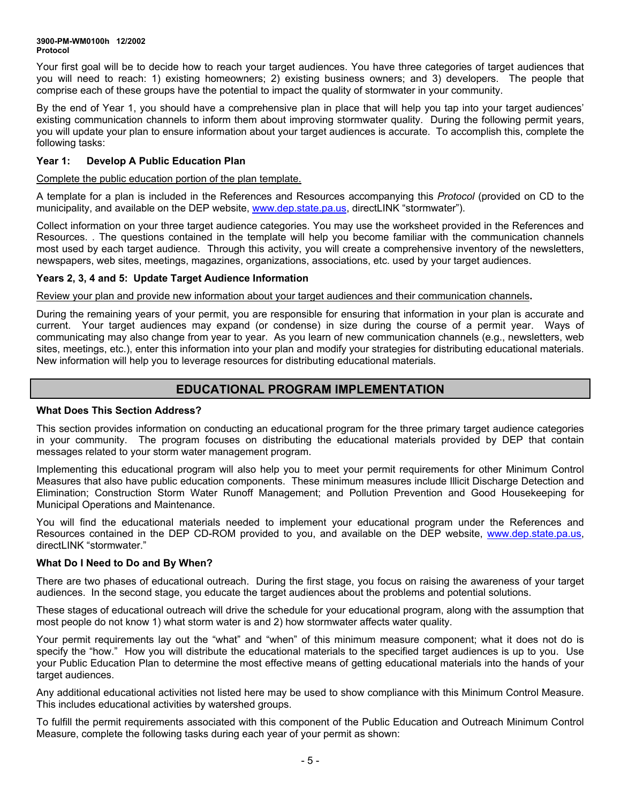#### **3900-PM-WM0100h 12/2002 Protocol**

Your first goal will be to decide how to reach your target audiences. You have three categories of target audiences that you will need to reach: 1) existing homeowners; 2) existing business owners; and 3) developers. The people that comprise each of these groups have the potential to impact the quality of stormwater in your community.

By the end of Year 1, you should have a comprehensive plan in place that will help you tap into your target audiences' existing communication channels to inform them about improving stormwater quality. During the following permit years, you will update your plan to ensure information about your target audiences is accurate. To accomplish this, complete the following tasks:

#### **Year 1: Develop A Public Education Plan**

Complete the public education portion of the plan template.

A template for a plan is included in the References and Resources accompanying this *Protocol* (provided on CD to the municipality, and available on the DEP website, [www.dep.state.pa.us,](http://www.dep.state.pa.us/) directLINK "stormwater").

Collect information on your three target audience categories. You may use the worksheet provided in the References and Resources. . The questions contained in the template will help you become familiar with the communication channels most used by each target audience. Through this activity, you will create a comprehensive inventory of the newsletters, newspapers, web sites, meetings, magazines, organizations, associations, etc. used by your target audiences.

#### **Years 2, 3, 4 and 5: Update Target Audience Information**

Review your plan and provide new information about your target audiences and their communication channels**.** 

During the remaining years of your permit, you are responsible for ensuring that information in your plan is accurate and current. Your target audiences may expand (or condense) in size during the course of a permit year. Ways of communicating may also change from year to year. As you learn of new communication channels (e.g., newsletters, web sites, meetings, etc.), enter this information into your plan and modify your strategies for distributing educational materials. New information will help you to leverage resources for distributing educational materials.

# **EDUCATIONAL PROGRAM IMPLEMENTATION**

#### **What Does This Section Address?**

This section provides information on conducting an educational program for the three primary target audience categories in your community. The program focuses on distributing the educational materials provided by DEP that contain messages related to your storm water management program.

Implementing this educational program will also help you to meet your permit requirements for other Minimum Control Measures that also have public education components. These minimum measures include Illicit Discharge Detection and Elimination; Construction Storm Water Runoff Management; and Pollution Prevention and Good Housekeeping for Municipal Operations and Maintenance.

You will find the educational materials needed to implement your educational program under the References and Resources contained in the DEP CD-ROM provided to you, and available on the DEP website, [www.dep.state.pa.us](http://www.dep.state.pa.us/), directLINK "stormwater."

#### **What Do I Need to Do and By When?**

There are two phases of educational outreach. During the first stage, you focus on raising the awareness of your target audiences. In the second stage, you educate the target audiences about the problems and potential solutions.

These stages of educational outreach will drive the schedule for your educational program, along with the assumption that most people do not know 1) what storm water is and 2) how stormwater affects water quality.

Your permit requirements lay out the "what" and "when" of this minimum measure component; what it does not do is specify the "how." How you will distribute the educational materials to the specified target audiences is up to you. Use your Public Education Plan to determine the most effective means of getting educational materials into the hands of your target audiences.

Any additional educational activities not listed here may be used to show compliance with this Minimum Control Measure. This includes educational activities by watershed groups.

To fulfill the permit requirements associated with this component of the Public Education and Outreach Minimum Control Measure, complete the following tasks during each year of your permit as shown: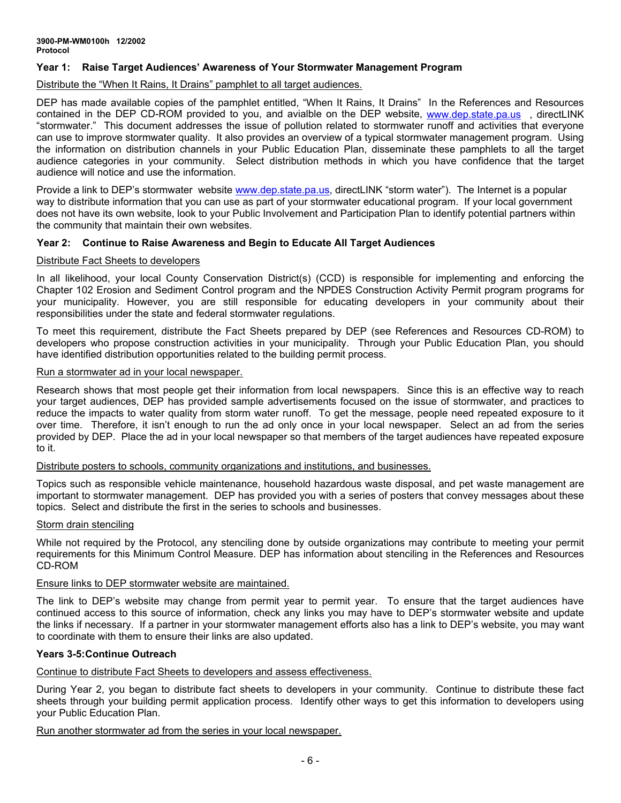#### **Year 1: Raise Target Audiences' Awareness of Your Stormwater Management Program**

#### Distribute the "When It Rains, It Drains" pamphlet to all target audiences.

DEP has made available copies of the pamphlet entitled, "When It Rains, It Drains" In the References and Resources contained in the DEP CD-ROM provided to you, and avialble on the DEP website, [www.dep.state.pa.us](http://www.dep.state.pa.us/) , directLINK "stormwater." This document addresses the issue of pollution related to stormwater runoff and activities that everyone can use to improve stormwater quality. It also provides an overview of a typical stormwater management program. Using the information on distribution channels in your Public Education Plan, disseminate these pamphlets to all the target audience categories in your community. Select distribution methods in which you have confidence that the target audience will notice and use the information.

Provide a link to DEP's stormwater website [www.dep.state.pa.us](http://www.dep.state.pa.us/), directLINK "storm water"). The Internet is a popular way to distribute information that you can use as part of your stormwater educational program. If your local government does not have its own website, look to your Public Involvement and Participation Plan to identify potential partners within the community that maintain their own websites.

#### **Year 2: Continue to Raise Awareness and Begin to Educate All Target Audiences**

#### Distribute Fact Sheets to developers

In all likelihood, your local County Conservation District(s) (CCD) is responsible for implementing and enforcing the Chapter 102 Erosion and Sediment Control program and the NPDES Construction Activity Permit program programs for your municipality. However, you are still responsible for educating developers in your community about their responsibilities under the state and federal stormwater regulations.

To meet this requirement, distribute the Fact Sheets prepared by DEP (see References and Resources CD-ROM) to developers who propose construction activities in your municipality. Through your Public Education Plan, you should have identified distribution opportunities related to the building permit process.

#### Run a stormwater ad in your local newspaper.

Research shows that most people get their information from local newspapers. Since this is an effective way to reach your target audiences, DEP has provided sample advertisements focused on the issue of stormwater, and practices to reduce the impacts to water quality from storm water runoff. To get the message, people need repeated exposure to it over time. Therefore, it isn't enough to run the ad only once in your local newspaper. Select an ad from the series provided by DEP. Place the ad in your local newspaper so that members of the target audiences have repeated exposure to it.

#### Distribute posters to schools, community organizations and institutions, and businesses.

Topics such as responsible vehicle maintenance, household hazardous waste disposal, and pet waste management are important to stormwater management. DEP has provided you with a series of posters that convey messages about these topics. Select and distribute the first in the series to schools and businesses.

#### Storm drain stenciling

While not required by the Protocol, any stenciling done by outside organizations may contribute to meeting your permit requirements for this Minimum Control Measure. DEP has information about stenciling in the References and Resources CD-ROM

#### Ensure links to DEP stormwater website are maintained.

The link to DEP's website may change from permit year to permit year. To ensure that the target audiences have continued access to this source of information, check any links you may have to DEP's stormwater website and update the links if necessary. If a partner in your stormwater management efforts also has a link to DEP's website, you may want to coordinate with them to ensure their links are also updated.

#### **Years 3-5: Continue Outreach**

Continue to distribute Fact Sheets to developers and assess effectiveness.

During Year 2, you began to distribute fact sheets to developers in your community. Continue to distribute these fact sheets through your building permit application process. Identify other ways to get this information to developers using your Public Education Plan.

Run another stormwater ad from the series in your local newspaper.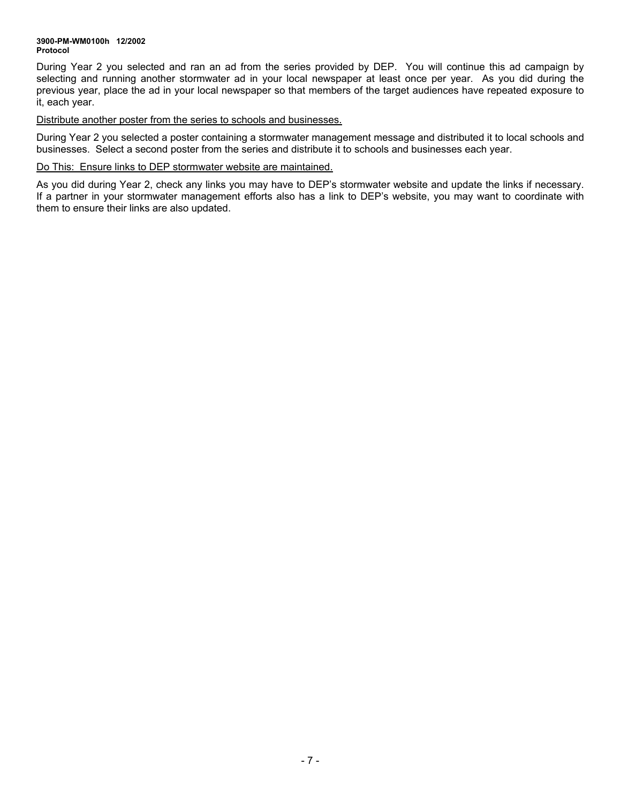#### **3900-PM-WM0100h 12/2002 Protocol**

During Year 2 you selected and ran an ad from the series provided by DEP. You will continue this ad campaign by selecting and running another stormwater ad in your local newspaper at least once per year. As you did during the previous year, place the ad in your local newspaper so that members of the target audiences have repeated exposure to it, each year.

#### Distribute another poster from the series to schools and businesses.

During Year 2 you selected a poster containing a stormwater management message and distributed it to local schools and businesses. Select a second poster from the series and distribute it to schools and businesses each year.

#### Do This: Ensure links to DEP stormwater website are maintained.

As you did during Year 2, check any links you may have to DEP's stormwater website and update the links if necessary. If a partner in your stormwater management efforts also has a link to DEP's website, you may want to coordinate with them to ensure their links are also updated.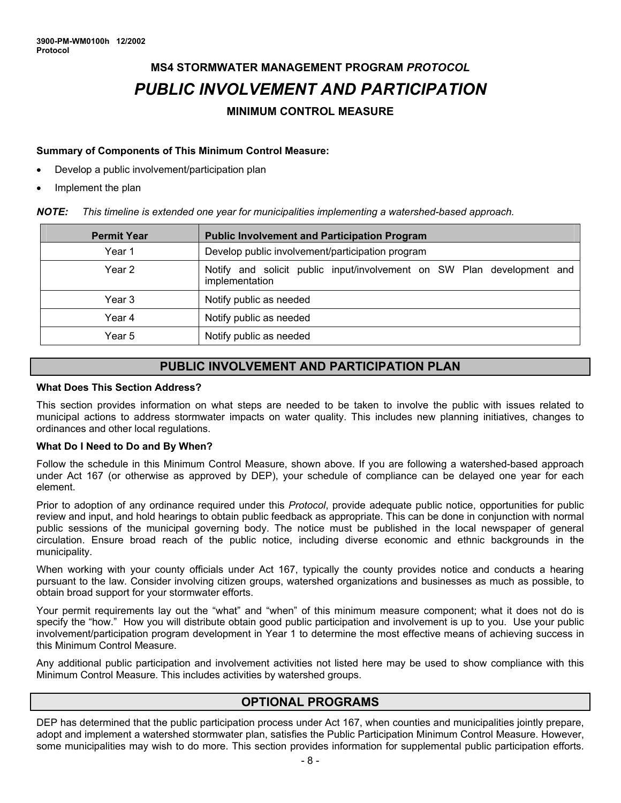# **MS4 STORMWATER MANAGEMENT PROGRAM** *PROTOCOL PUBLIC INVOLVEMENT AND PARTICIPATION*  **MINIMUM CONTROL MEASURE**

#### **Summary of Components of This Minimum Control Measure:**

- Develop a public involvement/participation plan
- Implement the plan

| NOTE: | This timeline is extended one year for municipalities implementing a watershed-based approach. |  |  |
|-------|------------------------------------------------------------------------------------------------|--|--|
|       |                                                                                                |  |  |

| <b>Permit Year</b> | <b>Public Involvement and Participation Program</b>                                      |  |
|--------------------|------------------------------------------------------------------------------------------|--|
| Year 1             | Develop public involvement/participation program                                         |  |
| Year 2             | Notify and solicit public input/involvement on SW Plan development and<br>implementation |  |
| Year 3             | Notify public as needed                                                                  |  |
| Year 4             | Notify public as needed                                                                  |  |
| Year 5             | Notify public as needed                                                                  |  |

# **PUBLIC INVOLVEMENT AND PARTICIPATION PLAN**

#### **What Does This Section Address?**

This section provides information on what steps are needed to be taken to involve the public with issues related to municipal actions to address stormwater impacts on water quality. This includes new planning initiatives, changes to ordinances and other local regulations.

#### **What Do I Need to Do and By When?**

Follow the schedule in this Minimum Control Measure, shown above. If you are following a watershed-based approach under Act 167 (or otherwise as approved by DEP), your schedule of compliance can be delayed one year for each element.

Prior to adoption of any ordinance required under this *Protocol*, provide adequate public notice, opportunities for public review and input, and hold hearings to obtain public feedback as appropriate. This can be done in conjunction with normal public sessions of the municipal governing body. The notice must be published in the local newspaper of general circulation. Ensure broad reach of the public notice, including diverse economic and ethnic backgrounds in the municipality.

When working with your county officials under Act 167, typically the county provides notice and conducts a hearing pursuant to the law. Consider involving citizen groups, watershed organizations and businesses as much as possible, to obtain broad support for your stormwater efforts.

Your permit requirements lay out the "what" and "when" of this minimum measure component; what it does not do is specify the "how." How you will distribute obtain good public participation and involvement is up to you. Use your public involvement/participation program development in Year 1 to determine the most effective means of achieving success in this Minimum Control Measure.

Any additional public participation and involvement activities not listed here may be used to show compliance with this Minimum Control Measure. This includes activities by watershed groups.

# **OPTIONAL PROGRAMS**

DEP has determined that the public participation process under Act 167, when counties and municipalities jointly prepare, adopt and implement a watershed stormwater plan, satisfies the Public Participation Minimum Control Measure. However, some municipalities may wish to do more. This section provides information for supplemental public participation efforts.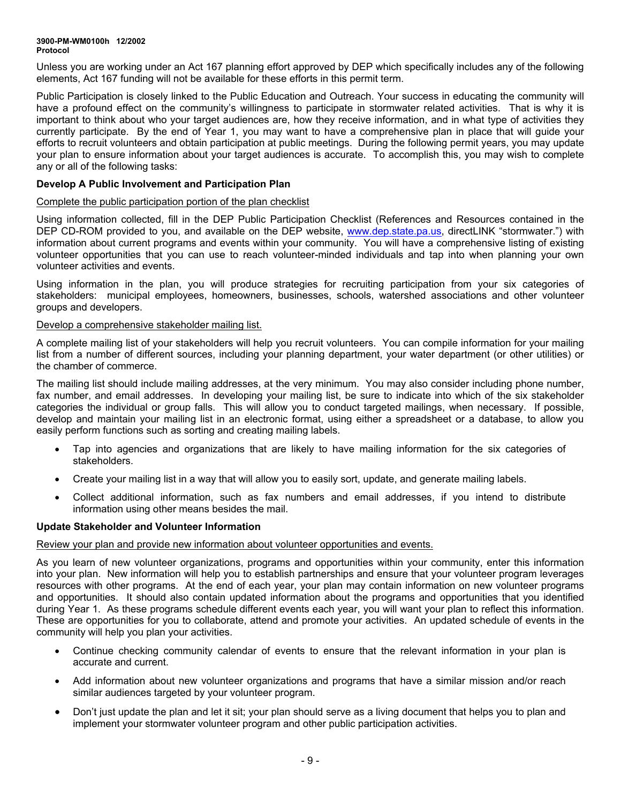#### **3900-PM-WM0100h 12/2002 Protocol**

Unless you are working under an Act 167 planning effort approved by DEP which specifically includes any of the following elements, Act 167 funding will not be available for these efforts in this permit term.

Public Participation is closely linked to the Public Education and Outreach. Your success in educating the community will have a profound effect on the community's willingness to participate in stormwater related activities. That is why it is important to think about who your target audiences are, how they receive information, and in what type of activities they currently participate. By the end of Year 1, you may want to have a comprehensive plan in place that will guide your efforts to recruit volunteers and obtain participation at public meetings. During the following permit years, you may update your plan to ensure information about your target audiences is accurate. To accomplish this, you may wish to complete any or all of the following tasks:

#### **Develop A Public Involvement and Participation Plan**

#### Complete the public participation portion of the plan checklist

Using information collected, fill in the DEP Public Participation Checklist (References and Resources contained in the DEP CD-ROM provided to you, and available on the DEP website, [www.dep.state.pa.us](http://www.dep.state.pa.us/), directLINK "stormwater.") with information about current programs and events within your community. You will have a comprehensive listing of existing volunteer opportunities that you can use to reach volunteer-minded individuals and tap into when planning your own volunteer activities and events.

Using information in the plan, you will produce strategies for recruiting participation from your six categories of stakeholders: municipal employees, homeowners, businesses, schools, watershed associations and other volunteer groups and developers.

#### Develop a comprehensive stakeholder mailing list.

A complete mailing list of your stakeholders will help you recruit volunteers. You can compile information for your mailing list from a number of different sources, including your planning department, your water department (or other utilities) or the chamber of commerce.

The mailing list should include mailing addresses, at the very minimum. You may also consider including phone number, fax number, and email addresses. In developing your mailing list, be sure to indicate into which of the six stakeholder categories the individual or group falls. This will allow you to conduct targeted mailings, when necessary. If possible, develop and maintain your mailing list in an electronic format, using either a spreadsheet or a database, to allow you easily perform functions such as sorting and creating mailing labels.

- Tap into agencies and organizations that are likely to have mailing information for the six categories of stakeholders.
- Create your mailing list in a way that will allow you to easily sort, update, and generate mailing labels.
- Collect additional information, such as fax numbers and email addresses, if you intend to distribute information using other means besides the mail.

#### **Update Stakeholder and Volunteer Information**

#### Review your plan and provide new information about volunteer opportunities and events.

As you learn of new volunteer organizations, programs and opportunities within your community, enter this information into your plan. New information will help you to establish partnerships and ensure that your volunteer program leverages resources with other programs. At the end of each year, your plan may contain information on new volunteer programs and opportunities. It should also contain updated information about the programs and opportunities that you identified during Year 1. As these programs schedule different events each year, you will want your plan to reflect this information. These are opportunities for you to collaborate, attend and promote your activities. An updated schedule of events in the community will help you plan your activities.

- Continue checking community calendar of events to ensure that the relevant information in your plan is accurate and current.
- Add information about new volunteer organizations and programs that have a similar mission and/or reach similar audiences targeted by your volunteer program.
- Don't just update the plan and let it sit; your plan should serve as a living document that helps you to plan and implement your stormwater volunteer program and other public participation activities.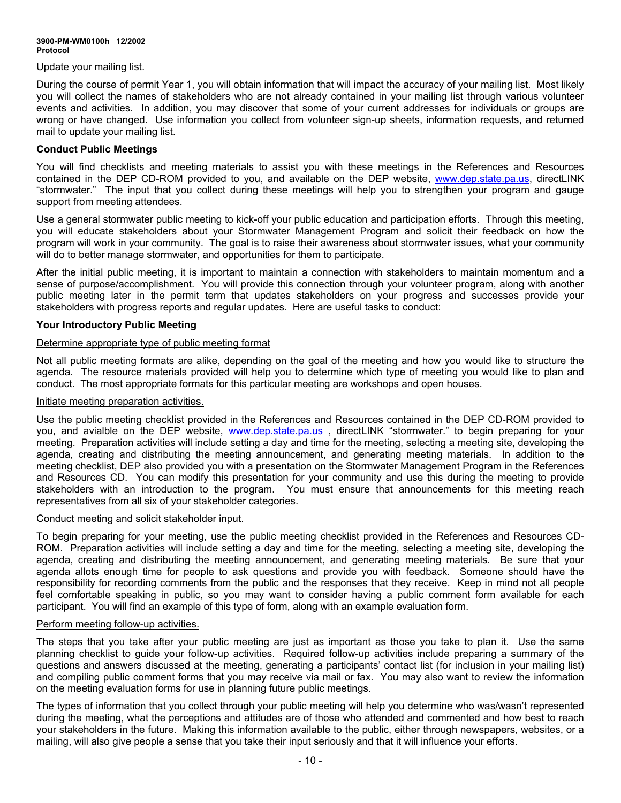#### Update your mailing list.

During the course of permit Year 1, you will obtain information that will impact the accuracy of your mailing list. Most likely you will collect the names of stakeholders who are not already contained in your mailing list through various volunteer events and activities. In addition, you may discover that some of your current addresses for individuals or groups are wrong or have changed. Use information you collect from volunteer sign-up sheets, information requests, and returned mail to update your mailing list.

#### **Conduct Public Meetings**

You will find checklists and meeting materials to assist you with these meetings in the References and Resources contained in the DEP CD-ROM provided to you, and available on the DEP website, [www.dep.state.pa.us](http://www.dep.state.pa.us/), directLINK "stormwater." The input that you collect during these meetings will help you to strengthen your program and gauge support from meeting attendees.

Use a general stormwater public meeting to kick-off your public education and participation efforts. Through this meeting, you will educate stakeholders about your Stormwater Management Program and solicit their feedback on how the program will work in your community. The goal is to raise their awareness about stormwater issues, what your community will do to better manage stormwater, and opportunities for them to participate.

After the initial public meeting, it is important to maintain a connection with stakeholders to maintain momentum and a sense of purpose/accomplishment. You will provide this connection through your volunteer program, along with another public meeting later in the permit term that updates stakeholders on your progress and successes provide your stakeholders with progress reports and regular updates. Here are useful tasks to conduct:

#### **Your Introductory Public Meeting**

#### Determine appropriate type of public meeting format

Not all public meeting formats are alike, depending on the goal of the meeting and how you would like to structure the agenda. The resource materials provided will help you to determine which type of meeting you would like to plan and conduct. The most appropriate formats for this particular meeting are workshops and open houses.

#### Initiate meeting preparation activities.

Use the public meeting checklist provided in the References and Resources contained in the DEP CD-ROM provided to you, and avialble on the DEP website, [www.dep.state.pa.us](http://www.dep.state.pa.us/) , directLINK "stormwater." to begin preparing for your meeting. Preparation activities will include setting a day and time for the meeting, selecting a meeting site, developing the agenda, creating and distributing the meeting announcement, and generating meeting materials. In addition to the meeting checklist, DEP also provided you with a presentation on the Stormwater Management Program in the References and Resources CD. You can modify this presentation for your community and use this during the meeting to provide stakeholders with an introduction to the program. You must ensure that announcements for this meeting reach representatives from all six of your stakeholder categories.

#### Conduct meeting and solicit stakeholder input.

To begin preparing for your meeting, use the public meeting checklist provided in the References and Resources CD-ROM. Preparation activities will include setting a day and time for the meeting, selecting a meeting site, developing the agenda, creating and distributing the meeting announcement, and generating meeting materials. Be sure that your agenda allots enough time for people to ask questions and provide you with feedback. Someone should have the responsibility for recording comments from the public and the responses that they receive. Keep in mind not all people feel comfortable speaking in public, so you may want to consider having a public comment form available for each participant. You will find an example of this type of form, along with an example evaluation form.

#### Perform meeting follow-up activities.

The steps that you take after your public meeting are just as important as those you take to plan it. Use the same planning checklist to guide your follow-up activities. Required follow-up activities include preparing a summary of the questions and answers discussed at the meeting, generating a participants' contact list (for inclusion in your mailing list) and compiling public comment forms that you may receive via mail or fax. You may also want to review the information on the meeting evaluation forms for use in planning future public meetings.

The types of information that you collect through your public meeting will help you determine who was/wasn't represented during the meeting, what the perceptions and attitudes are of those who attended and commented and how best to reach your stakeholders in the future. Making this information available to the public, either through newspapers, websites, or a mailing, will also give people a sense that you take their input seriously and that it will influence your efforts.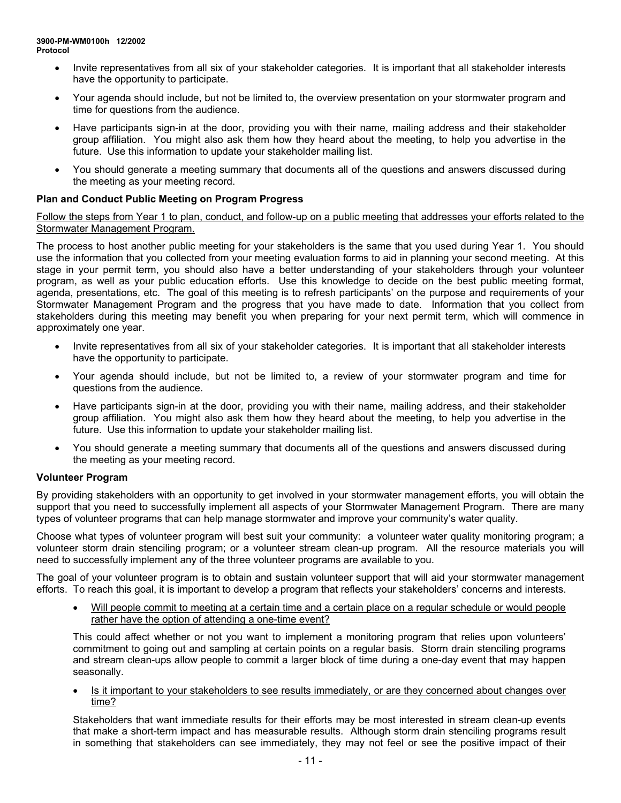- Invite representatives from all six of your stakeholder categories. It is important that all stakeholder interests have the opportunity to participate.
- Your agenda should include, but not be limited to, the overview presentation on your stormwater program and time for questions from the audience.
- Have participants sign-in at the door, providing you with their name, mailing address and their stakeholder group affiliation. You might also ask them how they heard about the meeting, to help you advertise in the future. Use this information to update your stakeholder mailing list.
- You should generate a meeting summary that documents all of the questions and answers discussed during the meeting as your meeting record.

#### **Plan and Conduct Public Meeting on Program Progress**

#### Follow the steps from Year 1 to plan, conduct, and follow-up on a public meeting that addresses your efforts related to the Stormwater Management Program.

The process to host another public meeting for your stakeholders is the same that you used during Year 1. You should use the information that you collected from your meeting evaluation forms to aid in planning your second meeting. At this stage in your permit term, you should also have a better understanding of your stakeholders through your volunteer program, as well as your public education efforts. Use this knowledge to decide on the best public meeting format, agenda, presentations, etc. The goal of this meeting is to refresh participants' on the purpose and requirements of your Stormwater Management Program and the progress that you have made to date. Information that you collect from stakeholders during this meeting may benefit you when preparing for your next permit term, which will commence in approximately one year.

- Invite representatives from all six of your stakeholder categories. It is important that all stakeholder interests have the opportunity to participate.
- Your agenda should include, but not be limited to, a review of your stormwater program and time for questions from the audience.
- Have participants sign-in at the door, providing you with their name, mailing address, and their stakeholder group affiliation. You might also ask them how they heard about the meeting, to help you advertise in the future. Use this information to update your stakeholder mailing list.
- You should generate a meeting summary that documents all of the questions and answers discussed during the meeting as your meeting record.

#### **Volunteer Program**

By providing stakeholders with an opportunity to get involved in your stormwater management efforts, you will obtain the support that you need to successfully implement all aspects of your Stormwater Management Program. There are many types of volunteer programs that can help manage stormwater and improve your community's water quality.

Choose what types of volunteer program will best suit your community: a volunteer water quality monitoring program; a volunteer storm drain stenciling program; or a volunteer stream clean-up program. All the resource materials you will need to successfully implement any of the three volunteer programs are available to you.

The goal of your volunteer program is to obtain and sustain volunteer support that will aid your stormwater management efforts. To reach this goal, it is important to develop a program that reflects your stakeholders' concerns and interests.

• Will people commit to meeting at a certain time and a certain place on a regular schedule or would people rather have the option of attending a one-time event?

This could affect whether or not you want to implement a monitoring program that relies upon volunteers' commitment to going out and sampling at certain points on a regular basis. Storm drain stenciling programs and stream clean-ups allow people to commit a larger block of time during a one-day event that may happen seasonally.

• Is it important to your stakeholders to see results immediately, or are they concerned about changes over time?

Stakeholders that want immediate results for their efforts may be most interested in stream clean-up events that make a short-term impact and has measurable results. Although storm drain stenciling programs result in something that stakeholders can see immediately, they may not feel or see the positive impact of their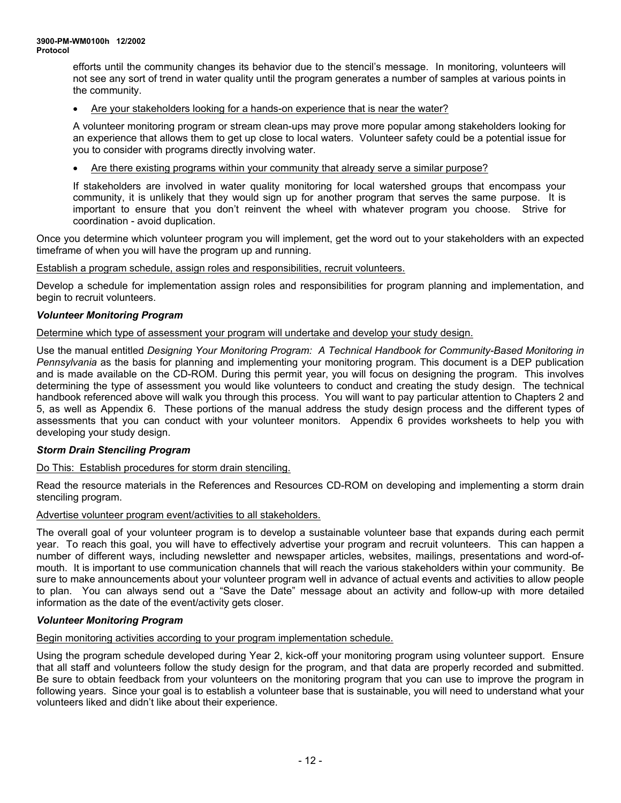efforts until the community changes its behavior due to the stencil's message. In monitoring, volunteers will not see any sort of trend in water quality until the program generates a number of samples at various points in the community.

• Are your stakeholders looking for a hands-on experience that is near the water?

A volunteer monitoring program or stream clean-ups may prove more popular among stakeholders looking for an experience that allows them to get up close to local waters. Volunteer safety could be a potential issue for you to consider with programs directly involving water.

• Are there existing programs within your community that already serve a similar purpose?

If stakeholders are involved in water quality monitoring for local watershed groups that encompass your community, it is unlikely that they would sign up for another program that serves the same purpose. It is important to ensure that you don't reinvent the wheel with whatever program you choose. Strive for coordination - avoid duplication.

Once you determine which volunteer program you will implement, get the word out to your stakeholders with an expected timeframe of when you will have the program up and running.

Establish a program schedule, assign roles and responsibilities, recruit volunteers.

Develop a schedule for implementation assign roles and responsibilities for program planning and implementation, and begin to recruit volunteers.

#### *Volunteer Monitoring Program*

#### Determine which type of assessment your program will undertake and develop your study design.

Use the manual entitled *Designing Your Monitoring Program: A Technical Handbook for Community-Based Monitoring in Pennsylvania* as the basis for planning and implementing your monitoring program. This document is a DEP publication and is made available on the CD-ROM. During this permit year, you will focus on designing the program. This involves determining the type of assessment you would like volunteers to conduct and creating the study design. The technical handbook referenced above will walk you through this process. You will want to pay particular attention to Chapters 2 and 5, as well as Appendix 6. These portions of the manual address the study design process and the different types of assessments that you can conduct with your volunteer monitors. Appendix 6 provides worksheets to help you with developing your study design.

#### *Storm Drain Stenciling Program*

#### Do This: Establish procedures for storm drain stenciling.

Read the resource materials in the References and Resources CD-ROM on developing and implementing a storm drain stenciling program.

#### Advertise volunteer program event/activities to all stakeholders.

The overall goal of your volunteer program is to develop a sustainable volunteer base that expands during each permit year. To reach this goal, you will have to effectively advertise your program and recruit volunteers. This can happen a number of different ways, including newsletter and newspaper articles, websites, mailings, presentations and word-ofmouth. It is important to use communication channels that will reach the various stakeholders within your community. Be sure to make announcements about your volunteer program well in advance of actual events and activities to allow people to plan. You can always send out a "Save the Date" message about an activity and follow-up with more detailed information as the date of the event/activity gets closer.

#### *Volunteer Monitoring Program*

Begin monitoring activities according to your program implementation schedule.

Using the program schedule developed during Year 2, kick-off your monitoring program using volunteer support. Ensure that all staff and volunteers follow the study design for the program, and that data are properly recorded and submitted. Be sure to obtain feedback from your volunteers on the monitoring program that you can use to improve the program in following years. Since your goal is to establish a volunteer base that is sustainable, you will need to understand what your volunteers liked and didn't like about their experience.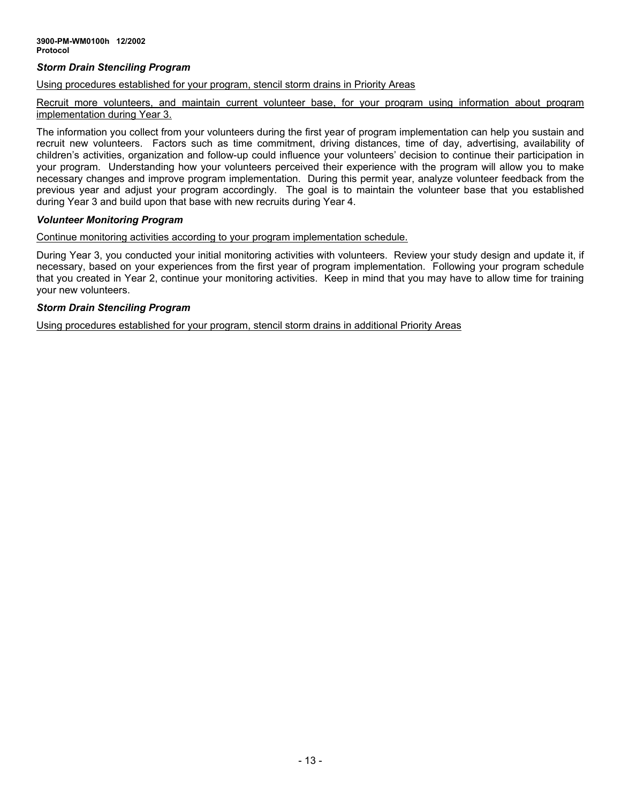#### *Storm Drain Stenciling Program*

#### Using procedures established for your program, stencil storm drains in Priority Areas

Recruit more volunteers, and maintain current volunteer base, for your program using information about program implementation during Year 3.

The information you collect from your volunteers during the first year of program implementation can help you sustain and recruit new volunteers. Factors such as time commitment, driving distances, time of day, advertising, availability of children's activities, organization and follow-up could influence your volunteers' decision to continue their participation in your program. Understanding how your volunteers perceived their experience with the program will allow you to make necessary changes and improve program implementation. During this permit year, analyze volunteer feedback from the previous year and adjust your program accordingly. The goal is to maintain the volunteer base that you established during Year 3 and build upon that base with new recruits during Year 4.

#### *Volunteer Monitoring Program*

Continue monitoring activities according to your program implementation schedule.

During Year 3, you conducted your initial monitoring activities with volunteers. Review your study design and update it, if necessary, based on your experiences from the first year of program implementation. Following your program schedule that you created in Year 2, continue your monitoring activities. Keep in mind that you may have to allow time for training your new volunteers.

#### *Storm Drain Stenciling Program*

Using procedures established for your program, stencil storm drains in additional Priority Areas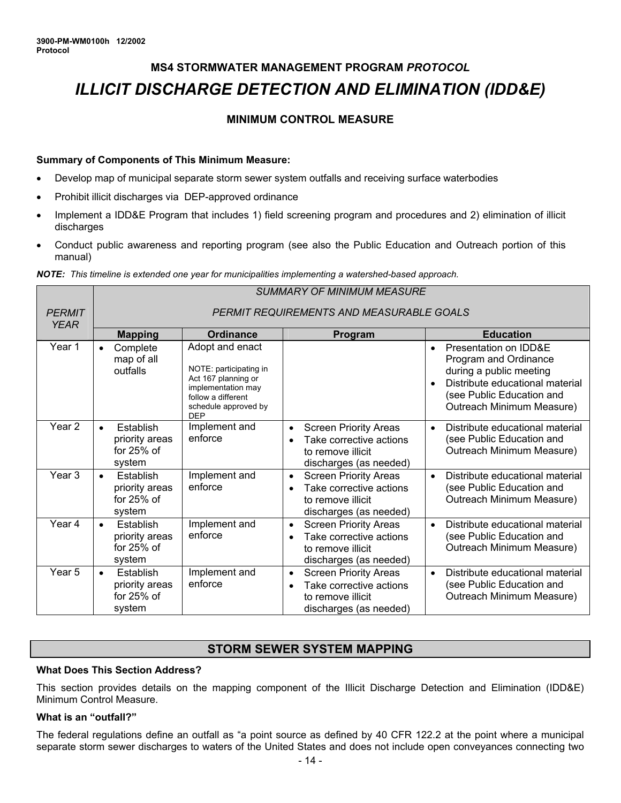# **MS4 STORMWATER MANAGEMENT PROGRAM** *PROTOCOL ILLICIT DISCHARGE DETECTION AND ELIMINATION (IDD&E)*

# **MINIMUM CONTROL MEASURE**

#### **Summary of Components of This Minimum Measure:**

- Develop map of municipal separate storm sewer system outfalls and receiving surface waterbodies
- Prohibit illicit discharges via DEP-approved ordinance
- Implement a IDD&E Program that includes 1) field screening program and procedures and 2) elimination of illicit discharges
- Conduct public awareness and reporting program (see also the Public Education and Outreach portion of this manual)

*NOTE: This timeline is extended one year for municipalities implementing a watershed-based approach.* 

|                              | <b>SUMMARY OF MINIMUM MEASURE</b>                                  |                                                                                                                                                    |                                                                                                                                  |                                                                                                                                                                                                  |
|------------------------------|--------------------------------------------------------------------|----------------------------------------------------------------------------------------------------------------------------------------------------|----------------------------------------------------------------------------------------------------------------------------------|--------------------------------------------------------------------------------------------------------------------------------------------------------------------------------------------------|
| <b>PERMIT</b><br><b>YEAR</b> |                                                                    |                                                                                                                                                    | PERMIT REQUIREMENTS AND MEASURABLE GOALS                                                                                         |                                                                                                                                                                                                  |
|                              | <b>Mapping</b>                                                     | <b>Ordinance</b>                                                                                                                                   | <b>Program</b>                                                                                                                   | <b>Education</b>                                                                                                                                                                                 |
| Year 1                       | Complete<br>$\bullet$<br>map of all<br>outfalls                    | Adopt and enact<br>NOTE: participating in<br>Act 167 planning or<br>implementation may<br>follow a different<br>schedule approved by<br><b>DEP</b> |                                                                                                                                  | Presentation on IDD&E<br>$\bullet$<br>Program and Ordinance<br>during a public meeting<br>Distribute educational material<br>$\bullet$<br>(see Public Education and<br>Outreach Minimum Measure) |
| Year <sub>2</sub>            | Establish<br>$\bullet$<br>priority areas<br>for $25%$ of<br>system | Implement and<br>enforce                                                                                                                           | <b>Screen Priority Areas</b><br>$\bullet$<br>Take corrective actions<br>$\bullet$<br>to remove illicit<br>discharges (as needed) | Distribute educational material<br>$\bullet$<br>(see Public Education and<br>Outreach Minimum Measure)                                                                                           |
| Year <sub>3</sub>            | Establish<br>$\bullet$<br>priority areas<br>for $25%$ of<br>system | Implement and<br>enforce                                                                                                                           | <b>Screen Priority Areas</b><br>$\bullet$<br>Take corrective actions<br>$\bullet$<br>to remove illicit<br>discharges (as needed) | Distribute educational material<br>$\bullet$<br>(see Public Education and<br>Outreach Minimum Measure)                                                                                           |
| Year 4                       | Establish<br>$\bullet$<br>priority areas<br>for $25%$ of<br>system | Implement and<br>enforce                                                                                                                           | <b>Screen Priority Areas</b><br>$\bullet$<br>Take corrective actions<br>$\bullet$<br>to remove illicit<br>discharges (as needed) | Distribute educational material<br>$\bullet$<br>(see Public Education and<br>Outreach Minimum Measure)                                                                                           |
| Year 5                       | Establish<br>$\bullet$<br>priority areas<br>for $25%$ of<br>system | Implement and<br>enforce                                                                                                                           | <b>Screen Priority Areas</b><br>$\bullet$<br>Take corrective actions<br>$\bullet$<br>to remove illicit<br>discharges (as needed) | Distribute educational material<br>$\bullet$<br>(see Public Education and<br>Outreach Minimum Measure)                                                                                           |

## **STORM SEWER SYSTEM MAPPING**

### **What Does This Section Address?**

This section provides details on the mapping component of the Illicit Discharge Detection and Elimination (IDD&E) Minimum Control Measure.

#### **What is an "outfall?"**

The federal regulations define an outfall as "a point source as defined by 40 CFR 122.2 at the point where a municipal separate storm sewer discharges to waters of the United States and does not include open conveyances connecting two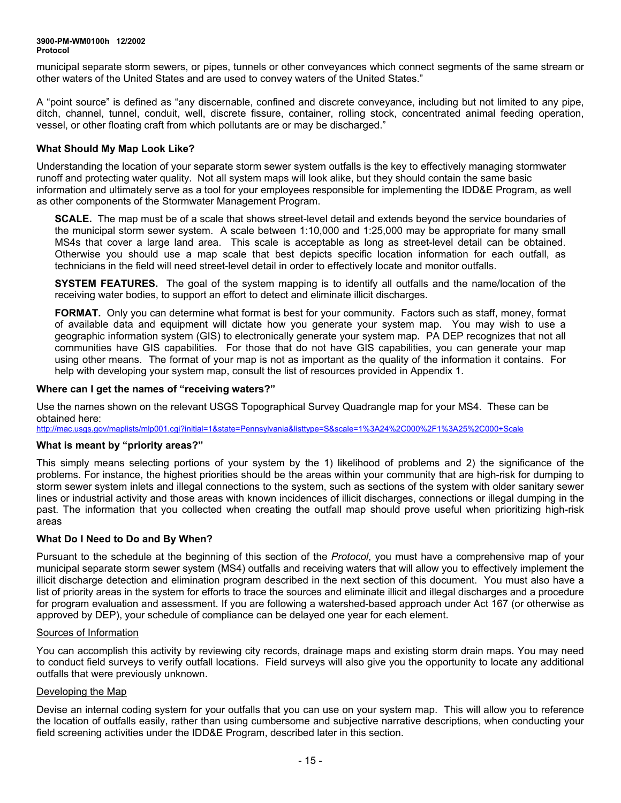#### **3900-PM-WM0100h 12/2002 Protocol**

municipal separate storm sewers, or pipes, tunnels or other conveyances which connect segments of the same stream or other waters of the United States and are used to convey waters of the United States."

A "point source" is defined as "any discernable, confined and discrete conveyance, including but not limited to any pipe, ditch, channel, tunnel, conduit, well, discrete fissure, container, rolling stock, concentrated animal feeding operation, vessel, or other floating craft from which pollutants are or may be discharged."

#### **What Should My Map Look Like?**

Understanding the location of your separate storm sewer system outfalls is the key to effectively managing stormwater runoff and protecting water quality. Not all system maps will look alike, but they should contain the same basic information and ultimately serve as a tool for your employees responsible for implementing the IDD&E Program, as well as other components of the Stormwater Management Program.

**SCALE.** The map must be of a scale that shows street-level detail and extends beyond the service boundaries of the municipal storm sewer system. A scale between 1:10,000 and 1:25,000 may be appropriate for many small MS4s that cover a large land area. This scale is acceptable as long as street-level detail can be obtained. Otherwise you should use a map scale that best depicts specific location information for each outfall, as technicians in the field will need street-level detail in order to effectively locate and monitor outfalls.

**SYSTEM FEATURES.** The goal of the system mapping is to identify all outfalls and the name/location of the receiving water bodies, to support an effort to detect and eliminate illicit discharges.

**FORMAT.** Only you can determine what format is best for your community. Factors such as staff, money, format of available data and equipment will dictate how you generate your system map. You may wish to use a geographic information system (GIS) to electronically generate your system map. PA DEP recognizes that not all communities have GIS capabilities. For those that do not have GIS capabilities, you can generate your map using other means. The format of your map is not as important as the quality of the information it contains. For help with developing your system map, consult the list of resources provided in Appendix 1.

#### **Where can I get the names of "receiving waters?"**

Use the names shown on the relevant USGS Topographical Survey Quadrangle map for your MS4. These can be obtained here:

<http://mac.usgs.gov/maplists/mlp001.cgi?initial=1&state=Pennsylvania&listtype=S&scale=1%3A24%2C000%2F1%3A25%2C000+Scale>

#### **What is meant by "priority areas?"**

This simply means selecting portions of your system by the 1) likelihood of problems and 2) the significance of the problems. For instance, the highest priorities should be the areas within your community that are high-risk for dumping to storm sewer system inlets and illegal connections to the system, such as sections of the system with older sanitary sewer lines or industrial activity and those areas with known incidences of illicit discharges, connections or illegal dumping in the past. The information that you collected when creating the outfall map should prove useful when prioritizing high-risk areas

#### **What Do I Need to Do and By When?**

Pursuant to the schedule at the beginning of this section of the *Protocol*, you must have a comprehensive map of your municipal separate storm sewer system (MS4) outfalls and receiving waters that will allow you to effectively implement the illicit discharge detection and elimination program described in the next section of this document. You must also have a list of priority areas in the system for efforts to trace the sources and eliminate illicit and illegal discharges and a procedure for program evaluation and assessment. If you are following a watershed-based approach under Act 167 (or otherwise as approved by DEP), your schedule of compliance can be delayed one year for each element.

### Sources of Information

You can accomplish this activity by reviewing city records, drainage maps and existing storm drain maps. You may need to conduct field surveys to verify outfall locations. Field surveys will also give you the opportunity to locate any additional outfalls that were previously unknown.

#### Developing the Map

Devise an internal coding system for your outfalls that you can use on your system map. This will allow you to reference the location of outfalls easily, rather than using cumbersome and subjective narrative descriptions, when conducting your field screening activities under the IDD&E Program, described later in this section.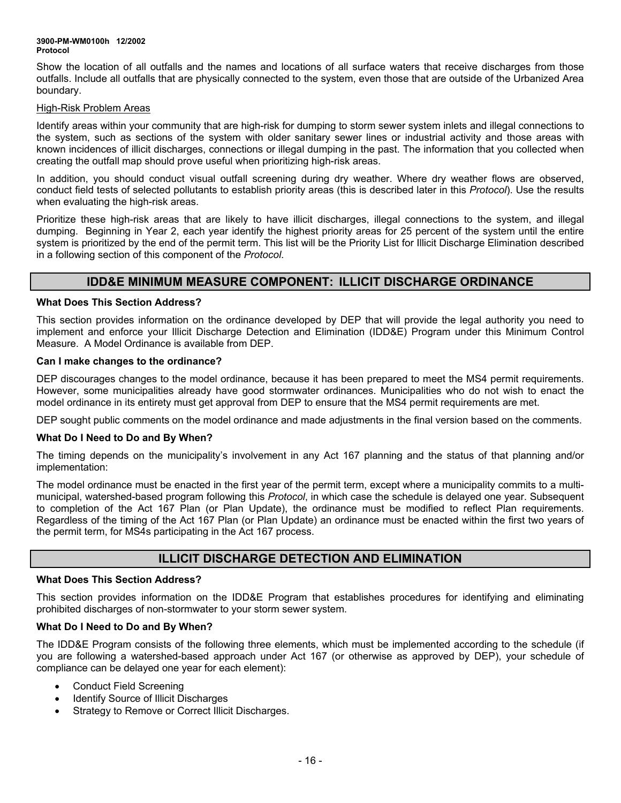#### **3900-PM-WM0100h 12/2002 Protocol**

Show the location of all outfalls and the names and locations of all surface waters that receive discharges from those outfalls. Include all outfalls that are physically connected to the system, even those that are outside of the Urbanized Area boundary.

#### High-Risk Problem Areas

Identify areas within your community that are high-risk for dumping to storm sewer system inlets and illegal connections to the system, such as sections of the system with older sanitary sewer lines or industrial activity and those areas with known incidences of illicit discharges, connections or illegal dumping in the past. The information that you collected when creating the outfall map should prove useful when prioritizing high-risk areas.

In addition, you should conduct visual outfall screening during dry weather. Where dry weather flows are observed, conduct field tests of selected pollutants to establish priority areas (this is described later in this *Protocol*). Use the results when evaluating the high-risk areas.

Prioritize these high-risk areas that are likely to have illicit discharges, illegal connections to the system, and illegal dumping. Beginning in Year 2, each year identify the highest priority areas for 25 percent of the system until the entire system is prioritized by the end of the permit term. This list will be the Priority List for Illicit Discharge Elimination described in a following section of this component of the *Protocol*.

# **IDD&E MINIMUM MEASURE COMPONENT: ILLICIT DISCHARGE ORDINANCE**

#### **What Does This Section Address?**

This section provides information on the ordinance developed by DEP that will provide the legal authority you need to implement and enforce your Illicit Discharge Detection and Elimination (IDD&E) Program under this Minimum Control Measure. A Model Ordinance is available from DEP.

#### **Can I make changes to the ordinance?**

DEP discourages changes to the model ordinance, because it has been prepared to meet the MS4 permit requirements. However, some municipalities already have good stormwater ordinances. Municipalities who do not wish to enact the model ordinance in its entirety must get approval from DEP to ensure that the MS4 permit requirements are met.

DEP sought public comments on the model ordinance and made adjustments in the final version based on the comments.

#### **What Do I Need to Do and By When?**

The timing depends on the municipality's involvement in any Act 167 planning and the status of that planning and/or implementation:

The model ordinance must be enacted in the first year of the permit term, except where a municipality commits to a multimunicipal, watershed-based program following this *Protocol*, in which case the schedule is delayed one year. Subsequent to completion of the Act 167 Plan (or Plan Update), the ordinance must be modified to reflect Plan requirements. Regardless of the timing of the Act 167 Plan (or Plan Update) an ordinance must be enacted within the first two years of the permit term, for MS4s participating in the Act 167 process.

# **ILLICIT DISCHARGE DETECTION AND ELIMINATION**

#### **What Does This Section Address?**

This section provides information on the IDD&E Program that establishes procedures for identifying and eliminating prohibited discharges of non-stormwater to your storm sewer system.

#### **What Do I Need to Do and By When?**

The IDD&E Program consists of the following three elements, which must be implemented according to the schedule (if you are following a watershed-based approach under Act 167 (or otherwise as approved by DEP), your schedule of compliance can be delayed one year for each element):

- Conduct Field Screening
- **Identify Source of Illicit Discharges**
- Strategy to Remove or Correct Illicit Discharges.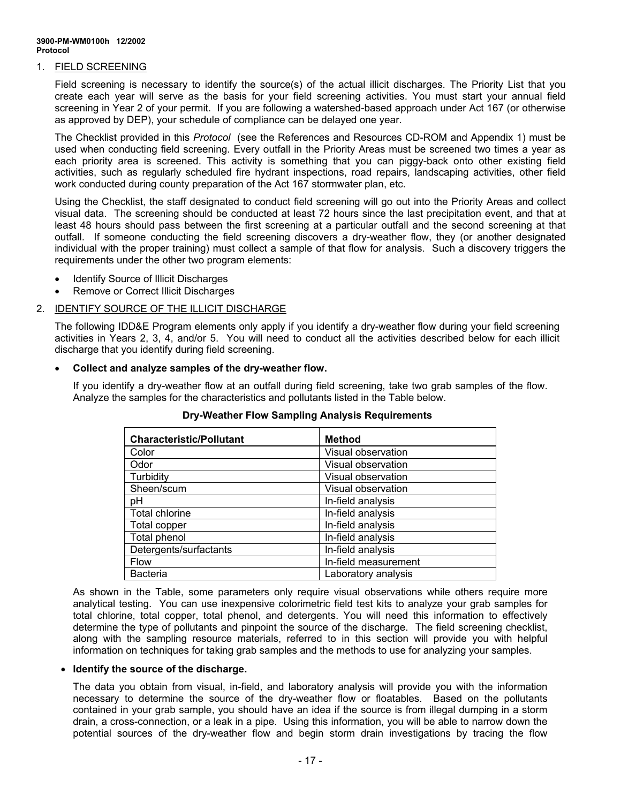#### 1. FIELD SCREENING

Field screening is necessary to identify the source(s) of the actual illicit discharges. The Priority List that you create each year will serve as the basis for your field screening activities. You must start your annual field screening in Year 2 of your permit. If you are following a watershed-based approach under Act 167 (or otherwise as approved by DEP), your schedule of compliance can be delayed one year.

The Checklist provided in this *Protocol* (see the References and Resources CD-ROM and Appendix 1) must be used when conducting field screening. Every outfall in the Priority Areas must be screened two times a year as each priority area is screened. This activity is something that you can piggy-back onto other existing field activities, such as regularly scheduled fire hydrant inspections, road repairs, landscaping activities, other field work conducted during county preparation of the Act 167 stormwater plan, etc.

Using the Checklist, the staff designated to conduct field screening will go out into the Priority Areas and collect visual data. The screening should be conducted at least 72 hours since the last precipitation event, and that at least 48 hours should pass between the first screening at a particular outfall and the second screening at that outfall. If someone conducting the field screening discovers a dry-weather flow, they (or another designated individual with the proper training) must collect a sample of that flow for analysis. Such a discovery triggers the requirements under the other two program elements:

- Identify Source of Illicit Discharges
- Remove or Correct Illicit Discharges

#### 2. IDENTIFY SOURCE OF THE ILLICIT DISCHARGE

The following IDD&E Program elements only apply if you identify a dry-weather flow during your field screening activities in Years 2, 3, 4, and/or 5. You will need to conduct all the activities described below for each illicit discharge that you identify during field screening.

#### • **Collect and analyze samples of the dry-weather flow.**

If you identify a dry-weather flow at an outfall during field screening, take two grab samples of the flow. Analyze the samples for the characteristics and pollutants listed in the Table below.

| <b>Characteristic/Pollutant</b> | <b>Method</b>        |
|---------------------------------|----------------------|
| Color                           | Visual observation   |
| Odor                            | Visual observation   |
| Turbidity                       | Visual observation   |
| Sheen/scum                      | Visual observation   |
| pH                              | In-field analysis    |
| Total chlorine                  | In-field analysis    |
| Total copper                    | In-field analysis    |
| Total phenol                    | In-field analysis    |
| Detergents/surfactants          | In-field analysis    |
| Flow                            | In-field measurement |
| <b>Bacteria</b>                 | Laboratory analysis  |

#### **Dry-Weather Flow Sampling Analysis Requirements**

As shown in the Table, some parameters only require visual observations while others require more analytical testing. You can use inexpensive colorimetric field test kits to analyze your grab samples for total chlorine, total copper, total phenol, and detergents. You will need this information to effectively determine the type of pollutants and pinpoint the source of the discharge. The field screening checklist, along with the sampling resource materials, referred to in this section will provide you with helpful information on techniques for taking grab samples and the methods to use for analyzing your samples.

#### • **Identify the source of the discharge.**

The data you obtain from visual, in-field, and laboratory analysis will provide you with the information necessary to determine the source of the dry-weather flow or floatables. Based on the pollutants contained in your grab sample, you should have an idea if the source is from illegal dumping in a storm drain, a cross-connection, or a leak in a pipe. Using this information, you will be able to narrow down the potential sources of the dry-weather flow and begin storm drain investigations by tracing the flow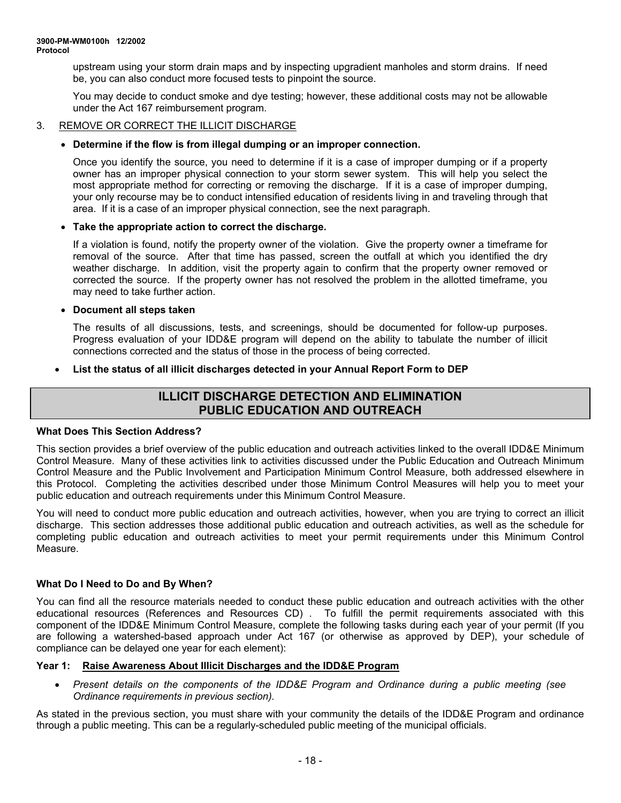upstream using your storm drain maps and by inspecting upgradient manholes and storm drains. If need be, you can also conduct more focused tests to pinpoint the source.

You may decide to conduct smoke and dye testing; however, these additional costs may not be allowable under the Act 167 reimbursement program.

#### 3. REMOVE OR CORRECT THE ILLICIT DISCHARGE

#### • **Determine if the flow is from illegal dumping or an improper connection.**

Once you identify the source, you need to determine if it is a case of improper dumping or if a property owner has an improper physical connection to your storm sewer system. This will help you select the most appropriate method for correcting or removing the discharge. If it is a case of improper dumping, your only recourse may be to conduct intensified education of residents living in and traveling through that area. If it is a case of an improper physical connection, see the next paragraph.

#### • **Take the appropriate action to correct the discharge.**

If a violation is found, notify the property owner of the violation. Give the property owner a timeframe for removal of the source. After that time has passed, screen the outfall at which you identified the dry weather discharge. In addition, visit the property again to confirm that the property owner removed or corrected the source. If the property owner has not resolved the problem in the allotted timeframe, you may need to take further action.

#### • **Document all steps taken**

The results of all discussions, tests, and screenings, should be documented for follow-up purposes. Progress evaluation of your IDD&E program will depend on the ability to tabulate the number of illicit connections corrected and the status of those in the process of being corrected.

#### • **List the status of all illicit discharges detected in your Annual Report Form to DEP**

# **ILLICIT DISCHARGE DETECTION AND ELIMINATION PUBLIC EDUCATION AND OUTREACH**

#### **What Does This Section Address?**

This section provides a brief overview of the public education and outreach activities linked to the overall IDD&E Minimum Control Measure. Many of these activities link to activities discussed under the Public Education and Outreach Minimum Control Measure and the Public Involvement and Participation Minimum Control Measure, both addressed elsewhere in this Protocol. Completing the activities described under those Minimum Control Measures will help you to meet your public education and outreach requirements under this Minimum Control Measure.

You will need to conduct more public education and outreach activities, however, when you are trying to correct an illicit discharge. This section addresses those additional public education and outreach activities, as well as the schedule for completing public education and outreach activities to meet your permit requirements under this Minimum Control Measure.

#### **What Do I Need to Do and By When?**

You can find all the resource materials needed to conduct these public education and outreach activities with the other educational resources (References and Resources CD) . To fulfill the permit requirements associated with this component of the IDD&E Minimum Control Measure, complete the following tasks during each year of your permit (If you are following a watershed-based approach under Act 167 (or otherwise as approved by DEP), your schedule of compliance can be delayed one year for each element):

#### **Year 1: Raise Awareness About Illicit Discharges and the IDD&E Program**

• *Present details on the components of the IDD&E Program and Ordinance during a public meeting (see Ordinance requirements in previous section).* 

As stated in the previous section, you must share with your community the details of the IDD&E Program and ordinance through a public meeting. This can be a regularly-scheduled public meeting of the municipal officials.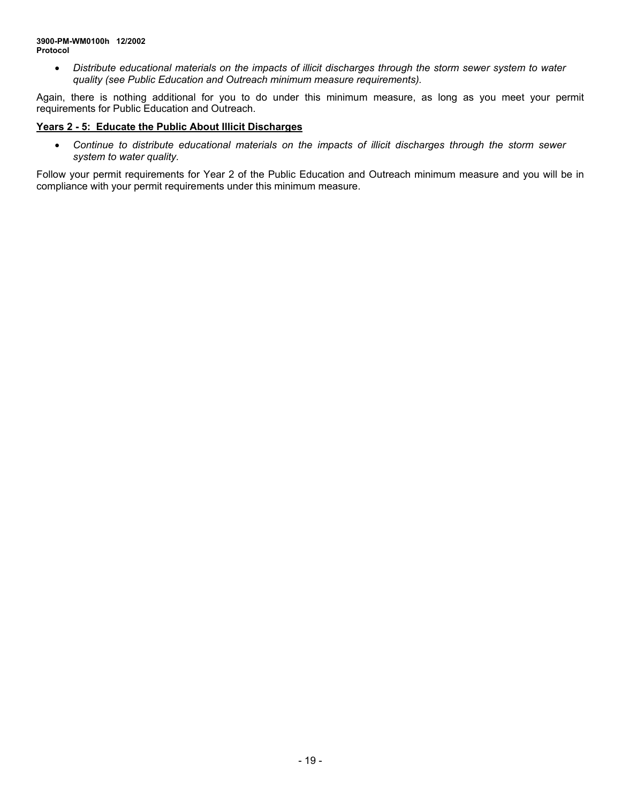• *Distribute educational materials on the impacts of illicit discharges through the storm sewer system to water quality (see Public Education and Outreach minimum measure requirements).* 

Again, there is nothing additional for you to do under this minimum measure, as long as you meet your permit requirements for Public Education and Outreach.

#### **Years 2 - 5: Educate the Public About Illicit Discharges**

• *Continue to distribute educational materials on the impacts of illicit discharges through the storm sewer system to water quality.* 

Follow your permit requirements for Year 2 of the Public Education and Outreach minimum measure and you will be in compliance with your permit requirements under this minimum measure.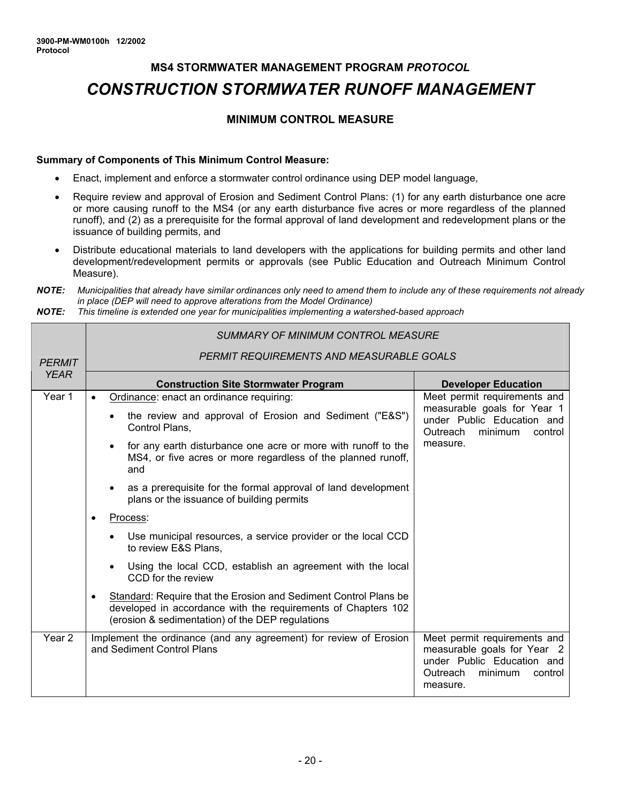# **MS4 STORMWATER MANAGEMENT PROGRAM** *PROTOCOL CONSTRUCTION STORMWATER RUNOFF MANAGEMENT*

# **MINIMUM CONTROL MEASURE**

#### **Summary of Components of This Minimum Control Measure:**

- Enact, implement and enforce a stormwater control ordinance using DEP model language,
- Require review and approval of Erosion and Sediment Control Plans: (1) for any earth disturbance one acre or more causing runoff to the MS4 (or any earth disturbance five acres or more regardless of the planned runoff), and (2) as a prerequisite for the formal approval of land development and redevelopment plans or the issuance of building permits, and
- Distribute educational materials to land developers with the applications for building permits and other land development/redevelopment permits or approvals (see Public Education and Outreach Minimum Control Measure).

*NOTE: This timeline is extended one year for municipalities implementing a watershed-based approach* 

|                   | SUMMARY OF MINIMUM CONTROL MEASURE                                                                                                                                                                 |                                                                                                                                         |
|-------------------|----------------------------------------------------------------------------------------------------------------------------------------------------------------------------------------------------|-----------------------------------------------------------------------------------------------------------------------------------------|
| <b>PERMIT</b>     | <b>PERMIT REQUIREMENTS AND MEASURABLE GOALS</b>                                                                                                                                                    |                                                                                                                                         |
| <b>YEAR</b>       | <b>Construction Site Stormwater Program</b>                                                                                                                                                        | <b>Developer Education</b>                                                                                                              |
| Year 1            | Ordinance: enact an ordinance requiring:<br>$\bullet$                                                                                                                                              | Meet permit requirements and                                                                                                            |
|                   | the review and approval of Erosion and Sediment ("E&S")<br>Control Plans.                                                                                                                          | measurable goals for Year 1<br>under Public Education and<br>minimum<br>control<br>Outreach                                             |
|                   | for any earth disturbance one acre or more with runoff to the<br>MS4, or five acres or more regardless of the planned runoff,<br>and                                                               | measure.                                                                                                                                |
|                   | as a prerequisite for the formal approval of land development<br>plans or the issuance of building permits                                                                                         |                                                                                                                                         |
|                   | Process:<br>$\bullet$                                                                                                                                                                              |                                                                                                                                         |
|                   | Use municipal resources, a service provider or the local CCD<br>to review E&S Plans,                                                                                                               |                                                                                                                                         |
|                   | Using the local CCD, establish an agreement with the local<br>CCD for the review                                                                                                                   |                                                                                                                                         |
|                   | Standard: Require that the Erosion and Sediment Control Plans be<br>$\bullet$<br>developed in accordance with the requirements of Chapters 102<br>(erosion & sedimentation) of the DEP regulations |                                                                                                                                         |
| Year <sub>2</sub> | Implement the ordinance (and any agreement) for review of Erosion<br>and Sediment Control Plans                                                                                                    | Meet permit requirements and<br>measurable goals for Year 2<br>under Public Education and<br>minimum<br>Outreach<br>control<br>measure. |

*NOTE: Municipalities that already have similar ordinances only need to amend them to include any of these requirements not already in place (DEP will need to approve alterations from the Model Ordinance)*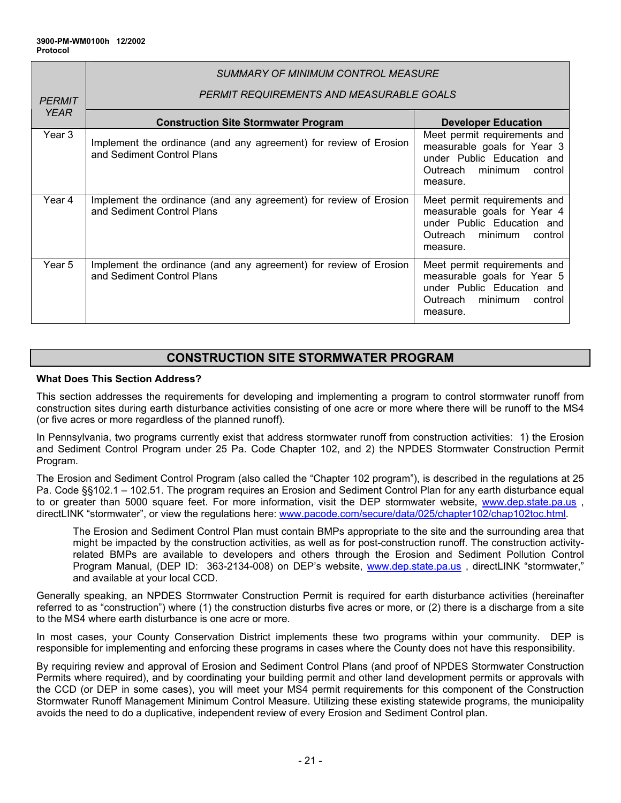|               | SUMMARY OF MINIMUM CONTROL MEASURE                                                              |                                                                                                                                      |
|---------------|-------------------------------------------------------------------------------------------------|--------------------------------------------------------------------------------------------------------------------------------------|
| <b>PERMIT</b> | <b>PERMIT REQUIREMENTS AND MEASURABLE GOALS</b>                                                 |                                                                                                                                      |
| <b>YEAR</b>   | <b>Construction Site Stormwater Program</b>                                                     | <b>Developer Education</b>                                                                                                           |
| Year 3        | Implement the ordinance (and any agreement) for review of Erosion<br>and Sediment Control Plans | Meet permit requirements and<br>measurable goals for Year 3<br>under Public Education and<br>Outreach minimum<br>control<br>measure. |
| Year 4        | Implement the ordinance (and any agreement) for review of Erosion<br>and Sediment Control Plans | Meet permit requirements and<br>measurable goals for Year 4<br>under Public Education and<br>Outreach minimum<br>control<br>measure. |
| Year 5        | Implement the ordinance (and any agreement) for review of Erosion<br>and Sediment Control Plans | Meet permit requirements and<br>measurable goals for Year 5<br>under Public Education and<br>Outreach minimum<br>control<br>measure. |

# **CONSTRUCTION SITE STORMWATER PROGRAM**

#### **What Does This Section Address?**

This section addresses the requirements for developing and implementing a program to control stormwater runoff from construction sites during earth disturbance activities consisting of one acre or more where there will be runoff to the MS4 (or five acres or more regardless of the planned runoff).

In Pennsylvania, two programs currently exist that address stormwater runoff from construction activities: 1) the Erosion and Sediment Control Program under 25 Pa. Code Chapter 102, and 2) the NPDES Stormwater Construction Permit Program.

The Erosion and Sediment Control Program (also called the "Chapter 102 program"), is described in the regulations at 25 Pa. Code §§102.1 – 102.51. The program requires an Erosion and Sediment Control Plan for any earth disturbance equal to or greater than 5000 square feet. For more information, visit the DEP stormwater website, [www.dep.state.pa.us](http://www.dep.state.pa.us/) , directLINK "stormwater", or view the regulations here: [www.pacode.com/secure/data/025/chapter102/chap102toc.html.](http://www.pacode.com/secure/data/025/chapter102/chap102toc.html)

The Erosion and Sediment Control Plan must contain BMPs appropriate to the site and the surrounding area that might be impacted by the construction activities, as well as for post-construction runoff. The construction activityrelated BMPs are available to developers and others through the Erosion and Sediment Pollution Control Program Manual, (DEP ID: 363-2134-008) on DEP's website, [www.dep.state.pa.us](http://www.dep.state.pa.us/) , directLINK "stormwater," and available at your local CCD.

Generally speaking, an NPDES Stormwater Construction Permit is required for earth disturbance activities (hereinafter referred to as "construction") where (1) the construction disturbs five acres or more, or (2) there is a discharge from a site to the MS4 where earth disturbance is one acre or more.

In most cases, your County Conservation District implements these two programs within your community. DEP is responsible for implementing and enforcing these programs in cases where the County does not have this responsibility.

By requiring review and approval of Erosion and Sediment Control Plans (and proof of NPDES Stormwater Construction Permits where required), and by coordinating your building permit and other land development permits or approvals with the CCD (or DEP in some cases), you will meet your MS4 permit requirements for this component of the Construction Stormwater Runoff Management Minimum Control Measure. Utilizing these existing statewide programs, the municipality avoids the need to do a duplicative, independent review of every Erosion and Sediment Control plan.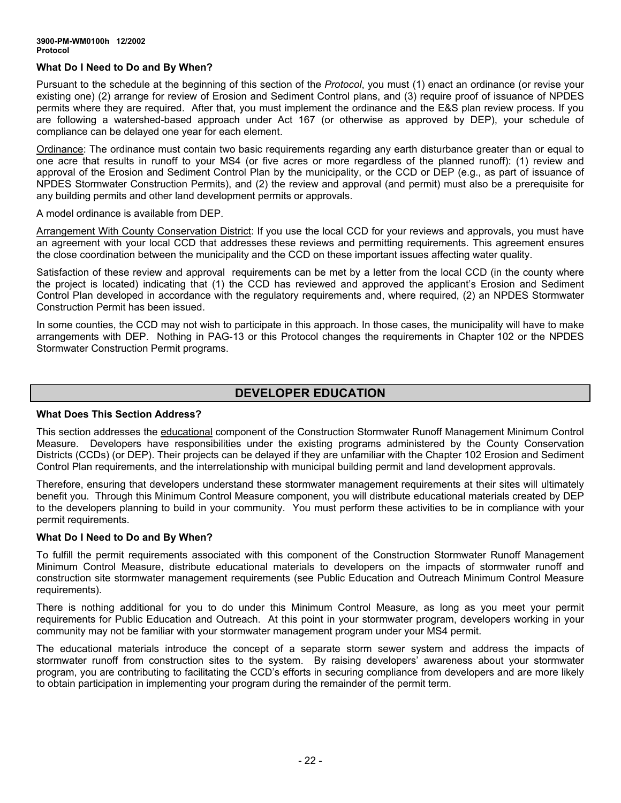#### **What Do I Need to Do and By When?**

Pursuant to the schedule at the beginning of this section of the *Protocol*, you must (1) enact an ordinance (or revise your existing one) (2) arrange for review of Erosion and Sediment Control plans, and (3) require proof of issuance of NPDES permits where they are required. After that, you must implement the ordinance and the E&S plan review process. If you are following a watershed-based approach under Act 167 (or otherwise as approved by DEP), your schedule of compliance can be delayed one year for each element.

Ordinance: The ordinance must contain two basic requirements regarding any earth disturbance greater than or equal to one acre that results in runoff to your MS4 (or five acres or more regardless of the planned runoff): (1) review and approval of the Erosion and Sediment Control Plan by the municipality, or the CCD or DEP (e.g., as part of issuance of NPDES Stormwater Construction Permits), and (2) the review and approval (and permit) must also be a prerequisite for any building permits and other land development permits or approvals.

A model ordinance is available from DEP.

Arrangement With County Conservation District: If you use the local CCD for your reviews and approvals, you must have an agreement with your local CCD that addresses these reviews and permitting requirements. This agreement ensures the close coordination between the municipality and the CCD on these important issues affecting water quality.

Satisfaction of these review and approval requirements can be met by a letter from the local CCD (in the county where the project is located) indicating that (1) the CCD has reviewed and approved the applicant's Erosion and Sediment Control Plan developed in accordance with the regulatory requirements and, where required, (2) an NPDES Stormwater Construction Permit has been issued.

In some counties, the CCD may not wish to participate in this approach. In those cases, the municipality will have to make arrangements with DEP. Nothing in PAG-13 or this Protocol changes the requirements in Chapter 102 or the NPDES Stormwater Construction Permit programs.

## **DEVELOPER EDUCATION**

#### **What Does This Section Address?**

This section addresses the educational component of the Construction Stormwater Runoff Management Minimum Control Measure. Developers have responsibilities under the existing programs administered by the County Conservation Districts (CCDs) (or DEP). Their projects can be delayed if they are unfamiliar with the Chapter 102 Erosion and Sediment Control Plan requirements, and the interrelationship with municipal building permit and land development approvals.

Therefore, ensuring that developers understand these stormwater management requirements at their sites will ultimately benefit you. Through this Minimum Control Measure component, you will distribute educational materials created by DEP to the developers planning to build in your community. You must perform these activities to be in compliance with your permit requirements.

#### **What Do I Need to Do and By When?**

To fulfill the permit requirements associated with this component of the Construction Stormwater Runoff Management Minimum Control Measure, distribute educational materials to developers on the impacts of stormwater runoff and construction site stormwater management requirements (see Public Education and Outreach Minimum Control Measure requirements).

There is nothing additional for you to do under this Minimum Control Measure, as long as you meet your permit requirements for Public Education and Outreach. At this point in your stormwater program, developers working in your community may not be familiar with your stormwater management program under your MS4 permit.

The educational materials introduce the concept of a separate storm sewer system and address the impacts of stormwater runoff from construction sites to the system. By raising developers' awareness about your stormwater program, you are contributing to facilitating the CCD's efforts in securing compliance from developers and are more likely to obtain participation in implementing your program during the remainder of the permit term.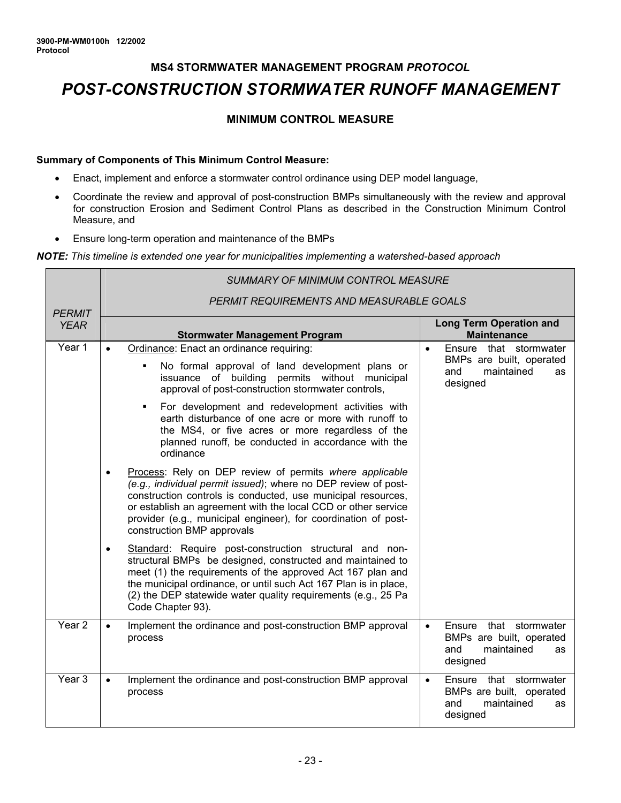# **MS4 STORMWATER MANAGEMENT PROGRAM** *PROTOCOL POST-CONSTRUCTION STORMWATER RUNOFF MANAGEMENT*

# **MINIMUM CONTROL MEASURE**

#### **Summary of Components of This Minimum Control Measure:**

- Enact, implement and enforce a stormwater control ordinance using DEP model language,
- Coordinate the review and approval of post-construction BMPs simultaneously with the review and approval for construction Erosion and Sediment Control Plans as described in the Construction Minimum Control Measure, and
- Ensure long-term operation and maintenance of the BMPs

#### *NOTE: This timeline is extended one year for municipalities implementing a watershed-based approach*

|                   | <b>SUMMARY OF MINIMUM CONTROL MEASURE</b>                                                                                                                                                                                                                                                                                                                  |                                                                                                           |  |
|-------------------|------------------------------------------------------------------------------------------------------------------------------------------------------------------------------------------------------------------------------------------------------------------------------------------------------------------------------------------------------------|-----------------------------------------------------------------------------------------------------------|--|
| <b>PERMIT</b>     | PERMIT REQUIREMENTS AND MEASURABLE GOALS                                                                                                                                                                                                                                                                                                                   |                                                                                                           |  |
| <b>YEAR</b>       | <b>Stormwater Management Program</b>                                                                                                                                                                                                                                                                                                                       | <b>Long Term Operation and</b><br><b>Maintenance</b>                                                      |  |
| Year 1            | Ordinance: Enact an ordinance requiring:<br>$\bullet$                                                                                                                                                                                                                                                                                                      | Ensure that stormwater<br>$\bullet$                                                                       |  |
|                   | No formal approval of land development plans or<br>issuance of building permits without municipal<br>approval of post-construction stormwater controls,                                                                                                                                                                                                    | BMPs are built, operated<br>maintained<br>and<br>as<br>designed                                           |  |
|                   | For development and redevelopment activities with<br>٠<br>earth disturbance of one acre or more with runoff to<br>the MS4, or five acres or more regardless of the<br>planned runoff, be conducted in accordance with the<br>ordinance                                                                                                                     |                                                                                                           |  |
|                   | Process: Rely on DEP review of permits where applicable<br>(e.g., individual permit issued); where no DEP review of post-<br>construction controls is conducted, use municipal resources,<br>or establish an agreement with the local CCD or other service<br>provider (e.g., municipal engineer), for coordination of post-<br>construction BMP approvals |                                                                                                           |  |
|                   | Standard: Require post-construction structural and non-<br>$\bullet$<br>structural BMPs be designed, constructed and maintained to<br>meet (1) the requirements of the approved Act 167 plan and<br>the municipal ordinance, or until such Act 167 Plan is in place,<br>(2) the DEP statewide water quality requirements (e.g., 25 Pa<br>Code Chapter 93). |                                                                                                           |  |
| Year <sub>2</sub> | Implement the ordinance and post-construction BMP approval<br>$\bullet$<br>process                                                                                                                                                                                                                                                                         | Ensure<br>that stormwater<br>$\bullet$<br>BMPs are built, operated<br>and<br>maintained<br>as<br>designed |  |
| Year <sub>3</sub> | Implement the ordinance and post-construction BMP approval<br>process                                                                                                                                                                                                                                                                                      | Ensure that stormwater<br>$\bullet$<br>BMPs are built, operated<br>maintained<br>and<br>as<br>designed    |  |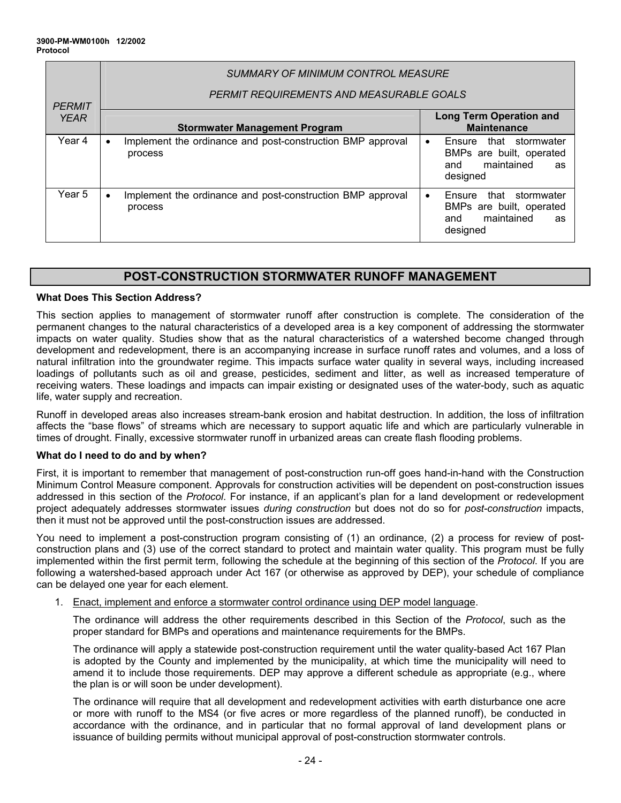|               | SUMMARY OF MINIMUM CONTROL MEASURE                                    |                                                                                                              |
|---------------|-----------------------------------------------------------------------|--------------------------------------------------------------------------------------------------------------|
| <b>PERMIT</b> | PERMIT REQUIREMENTS AND MEASURABLE GOALS                              |                                                                                                              |
| <b>YEAR</b>   | <b>Stormwater Management Program</b>                                  | <b>Long Term Operation and</b><br><b>Maintenance</b>                                                         |
| Year 4        | Implement the ordinance and post-construction BMP approval<br>process | that stormwater<br>Ensure<br>$\bullet$<br>BMPs are built, operated<br>maintained<br>and<br>as<br>designed    |
| Year 5        | Implement the ordinance and post-construction BMP approval<br>process | that<br>stormwater<br>Ensure<br>$\bullet$<br>BMPs are built, operated<br>maintained<br>and<br>as<br>designed |

# **POST-CONSTRUCTION STORMWATER RUNOFF MANAGEMENT**

#### **What Does This Section Address?**

This section applies to management of stormwater runoff after construction is complete. The consideration of the permanent changes to the natural characteristics of a developed area is a key component of addressing the stormwater impacts on water quality. Studies show that as the natural characteristics of a watershed become changed through development and redevelopment, there is an accompanying increase in surface runoff rates and volumes, and a loss of natural infiltration into the groundwater regime. This impacts surface water quality in several ways, including increased loadings of pollutants such as oil and grease, pesticides, sediment and litter, as well as increased temperature of receiving waters. These loadings and impacts can impair existing or designated uses of the water-body, such as aquatic life, water supply and recreation.

Runoff in developed areas also increases stream-bank erosion and habitat destruction. In addition, the loss of infiltration affects the "base flows" of streams which are necessary to support aquatic life and which are particularly vulnerable in times of drought. Finally, excessive stormwater runoff in urbanized areas can create flash flooding problems.

#### **What do I need to do and by when?**

First, it is important to remember that management of post-construction run-off goes hand-in-hand with the Construction Minimum Control Measure component. Approvals for construction activities will be dependent on post-construction issues addressed in this section of the *Protocol*. For instance, if an applicant's plan for a land development or redevelopment project adequately addresses stormwater issues *during construction* but does not do so for *post-construction* impacts, then it must not be approved until the post-construction issues are addressed.

You need to implement a post-construction program consisting of (1) an ordinance, (2) a process for review of postconstruction plans and (3) use of the correct standard to protect and maintain water quality. This program must be fully implemented within the first permit term, following the schedule at the beginning of this section of the *Protocol*. If you are following a watershed-based approach under Act 167 (or otherwise as approved by DEP), your schedule of compliance can be delayed one year for each element.

1. Enact, implement and enforce a stormwater control ordinance using DEP model language.

The ordinance will address the other requirements described in this Section of the *Protocol*, such as the proper standard for BMPs and operations and maintenance requirements for the BMPs.

The ordinance will apply a statewide post-construction requirement until the water quality-based Act 167 Plan is adopted by the County and implemented by the municipality, at which time the municipality will need to amend it to include those requirements. DEP may approve a different schedule as appropriate (e.g., where the plan is or will soon be under development).

The ordinance will require that all development and redevelopment activities with earth disturbance one acre or more with runoff to the MS4 (or five acres or more regardless of the planned runoff), be conducted in accordance with the ordinance, and in particular that no formal approval of land development plans or issuance of building permits without municipal approval of post-construction stormwater controls.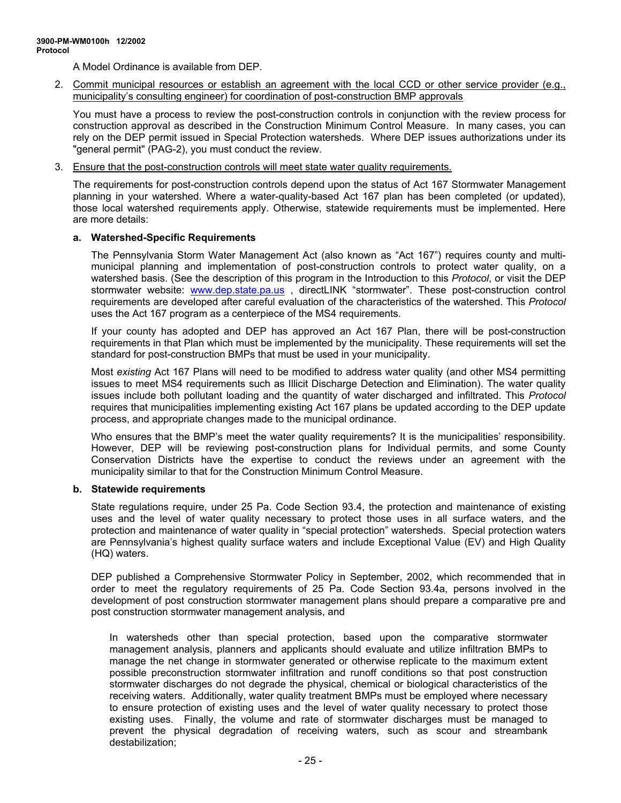A Model Ordinance is available from DEP.

2. Commit municipal resources or establish an agreement with the local CCD or other service provider (e.g., municipality's consulting engineer) for coordination of post-construction BMP approvals

You must have a process to review the post-construction controls in conjunction with the review process for construction approval as described in the Construction Minimum Control Measure. In many cases, you can rely on the DEP permit issued in Special Protection watersheds. Where DEP issues authorizations under its "general permit" (PAG-2), you must conduct the review.

3. Ensure that the post-construction controls will meet state water quality requirements.

The requirements for post-construction controls depend upon the status of Act 167 Stormwater Management planning in your watershed. Where a water-quality-based Act 167 plan has been completed (or updated), those local watershed requirements apply. Otherwise, statewide requirements must be implemented. Here are more details:

#### **a. Watershed-Specific Requirements**

The Pennsylvania Storm Water Management Act (also known as "Act 167") requires county and multimunicipal planning and implementation of post-construction controls to protect water quality, on a watershed basis. (See the description of this program in the Introduction to this *Protocol*, or visit the DEP stormwater website: www.dep.state.pa.us, directLINK "stormwater". These post-construction control requirements are developed after careful evaluation of the characteristics of the watershed. This *Protocol* uses the Act 167 program as a centerpiece of the MS4 requirements.

If your county has adopted and DEP has approved an Act 167 Plan, there will be post-construction requirements in that Plan which must be implemented by the municipality. These requirements will set the standard for post-construction BMPs that must be used in your municipality.

Most *existing* Act 167 Plans will need to be modified to address water quality (and other MS4 permitting issues to meet MS4 requirements such as Illicit Discharge Detection and Elimination). The water quality issues include both pollutant loading and the quantity of water discharged and infiltrated. This *Protocol* requires that municipalities implementing existing Act 167 plans be updated according to the DEP update process, and appropriate changes made to the municipal ordinance.

Who ensures that the BMP's meet the water quality requirements? It is the municipalities' responsibility. However, DEP will be reviewing post-construction plans for Individual permits, and some County Conservation Districts have the expertise to conduct the reviews under an agreement with the municipality similar to that for the Construction Minimum Control Measure.

#### **b. Statewide requirements**

State regulations require, under 25 Pa. Code Section 93.4, the protection and maintenance of existing uses and the level of water quality necessary to protect those uses in all surface waters, and the protection and maintenance of water quality in "special protection" watersheds. Special protection waters are Pennsylvania's highest quality surface waters and include Exceptional Value (EV) and High Quality (HQ) waters.

DEP published a Comprehensive Stormwater Policy in September, 2002, which recommended that in order to meet the regulatory requirements of 25 Pa. Code Section 93.4a, persons involved in the development of post construction stormwater management plans should prepare a comparative pre and post construction stormwater management analysis, and

In watersheds other than special protection, based upon the comparative stormwater management analysis, planners and applicants should evaluate and utilize infiltration BMPs to manage the net change in stormwater generated or otherwise replicate to the maximum extent possible preconstruction stormwater infiltration and runoff conditions so that post construction stormwater discharges do not degrade the physical, chemical or biological characteristics of the receiving waters. Additionally, water quality treatment BMPs must be employed where necessary to ensure protection of existing uses and the level of water quality necessary to protect those existing uses. Finally, the volume and rate of stormwater discharges must be managed to prevent the physical degradation of receiving waters, such as scour and streambank destabilization;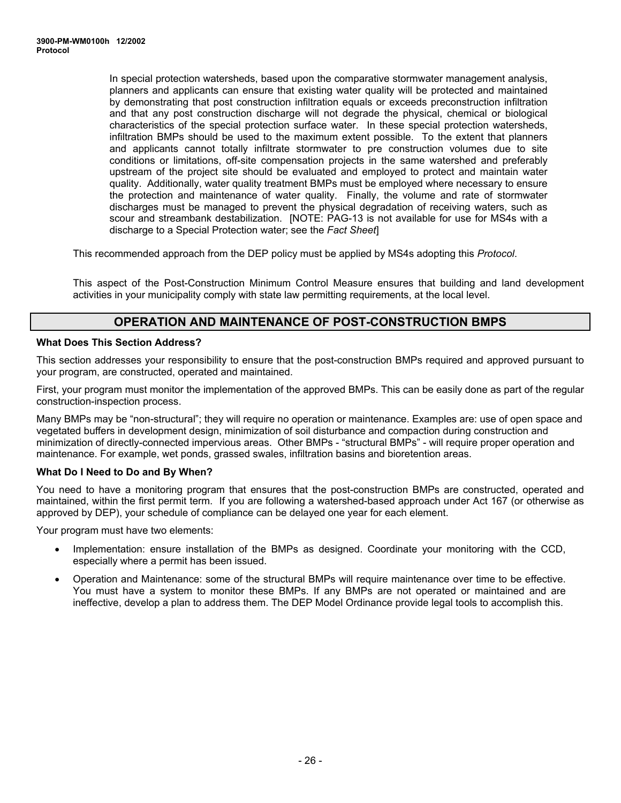In special protection watersheds, based upon the comparative stormwater management analysis, planners and applicants can ensure that existing water quality will be protected and maintained by demonstrating that post construction infiltration equals or exceeds preconstruction infiltration and that any post construction discharge will not degrade the physical, chemical or biological characteristics of the special protection surface water. In these special protection watersheds, infiltration BMPs should be used to the maximum extent possible. To the extent that planners and applicants cannot totally infiltrate stormwater to pre construction volumes due to site conditions or limitations, off-site compensation projects in the same watershed and preferably upstream of the project site should be evaluated and employed to protect and maintain water quality. Additionally, water quality treatment BMPs must be employed where necessary to ensure the protection and maintenance of water quality. Finally, the volume and rate of stormwater discharges must be managed to prevent the physical degradation of receiving waters, such as scour and streambank destabilization. [NOTE: PAG-13 is not available for use for MS4s with a discharge to a Special Protection water; see the *Fact Sheet*]

This recommended approach from the DEP policy must be applied by MS4s adopting this *Protocol*.

This aspect of the Post-Construction Minimum Control Measure ensures that building and land development activities in your municipality comply with state law permitting requirements, at the local level.

## **OPERATION AND MAINTENANCE OF POST-CONSTRUCTION BMPS**

#### **What Does This Section Address?**

This section addresses your responsibility to ensure that the post-construction BMPs required and approved pursuant to your program, are constructed, operated and maintained.

First, your program must monitor the implementation of the approved BMPs. This can be easily done as part of the regular construction-inspection process.

Many BMPs may be "non-structural"; they will require no operation or maintenance. Examples are: use of open space and vegetated buffers in development design, minimization of soil disturbance and compaction during construction and minimization of directly-connected impervious areas. Other BMPs - "structural BMPs" - will require proper operation and maintenance. For example, wet ponds, grassed swales, infiltration basins and bioretention areas.

#### **What Do I Need to Do and By When?**

You need to have a monitoring program that ensures that the post-construction BMPs are constructed, operated and maintained, within the first permit term. If you are following a watershed-based approach under Act 167 (or otherwise as approved by DEP), your schedule of compliance can be delayed one year for each element.

Your program must have two elements:

- Implementation: ensure installation of the BMPs as designed. Coordinate your monitoring with the CCD, especially where a permit has been issued.
- Operation and Maintenance: some of the structural BMPs will require maintenance over time to be effective. You must have a system to monitor these BMPs. If any BMPs are not operated or maintained and are ineffective, develop a plan to address them. The DEP Model Ordinance provide legal tools to accomplish this.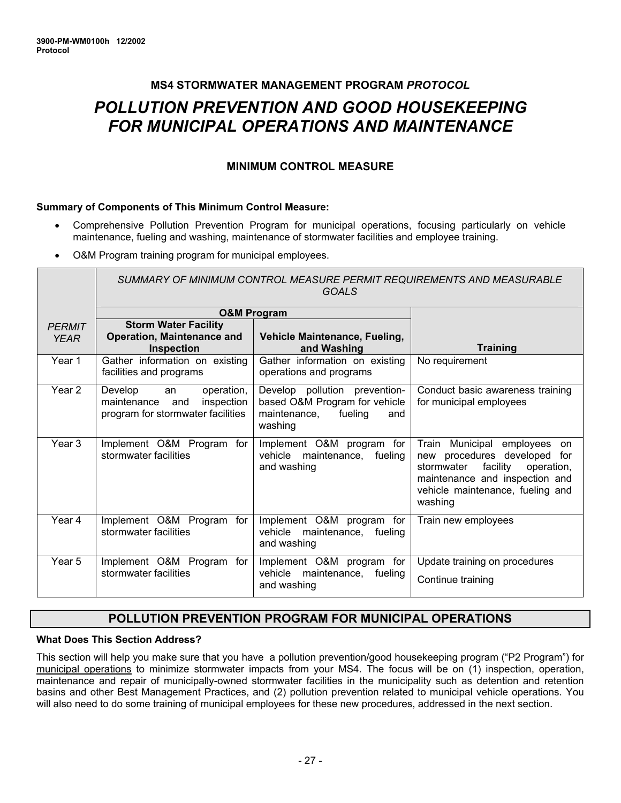# **MS4 STORMWATER MANAGEMENT PROGRAM** *PROTOCOL POLLUTION PREVENTION AND GOOD HOUSEKEEPING FOR MUNICIPAL OPERATIONS AND MAINTENANCE*

# **MINIMUM CONTROL MEASURE**

#### **Summary of Components of This Minimum Control Measure:**

- Comprehensive Pollution Prevention Program for municipal operations, focusing particularly on vehicle maintenance, fueling and washing, maintenance of stormwater facilities and employee training.
- O&M Program training program for municipal employees.

|                              | SUMMARY OF MINIMUM CONTROL MEASURE PERMIT REQUIREMENTS AND MEASURABLE<br>GOALS                    |                                                                                                             |                                                                                                                                                                                              |
|------------------------------|---------------------------------------------------------------------------------------------------|-------------------------------------------------------------------------------------------------------------|----------------------------------------------------------------------------------------------------------------------------------------------------------------------------------------------|
|                              |                                                                                                   | <b>O&amp;M Program</b>                                                                                      |                                                                                                                                                                                              |
| <b>PERMIT</b><br><b>YEAR</b> | <b>Storm Water Facility</b><br><b>Operation, Maintenance and</b><br><b>Inspection</b>             | Vehicle Maintenance, Fueling,<br>and Washing                                                                | Training                                                                                                                                                                                     |
| Year 1                       | Gather information on existing<br>facilities and programs                                         | Gather information on existing<br>operations and programs                                                   | No requirement                                                                                                                                                                               |
| Year <sub>2</sub>            | Develop<br>operation,<br>an<br>inspection<br>maintenance and<br>program for stormwater facilities | Develop pollution prevention-<br>based O&M Program for vehicle<br>maintenance,<br>fueling<br>and<br>washing | Conduct basic awareness training<br>for municipal employees                                                                                                                                  |
| Year 3                       | Implement O&M Program<br>for<br>stormwater facilities                                             | Implement O&M program for<br>vehicle maintenance, fueling<br>and washing                                    | Train Municipal employees<br>on.<br>new procedures developed<br>for<br>facility<br>stormwater<br>operation,<br>maintenance and inspection and<br>vehicle maintenance, fueling and<br>washing |
| Year 4                       | Implement O&M Program<br>for<br>stormwater facilities                                             | Implement O&M program for<br>vehicle maintenance, fueling<br>and washing                                    | Train new employees                                                                                                                                                                          |
| Year 5                       | Implement O&M Program<br>for<br>stormwater facilities                                             | Implement O&M program for<br>vehicle maintenance, fueling<br>and washing                                    | Update training on procedures<br>Continue training                                                                                                                                           |

# **POLLUTION PREVENTION PROGRAM FOR MUNICIPAL OPERATIONS**

#### **What Does This Section Address?**

This section will help you make sure that you have a pollution prevention/good housekeeping program ("P2 Program") for municipal operations to minimize stormwater impacts from your MS4. The focus will be on (1) inspection, operation, maintenance and repair of municipally-owned stormwater facilities in the municipality such as detention and retention basins and other Best Management Practices, and (2) pollution prevention related to municipal vehicle operations. You will also need to do some training of municipal employees for these new procedures, addressed in the next section.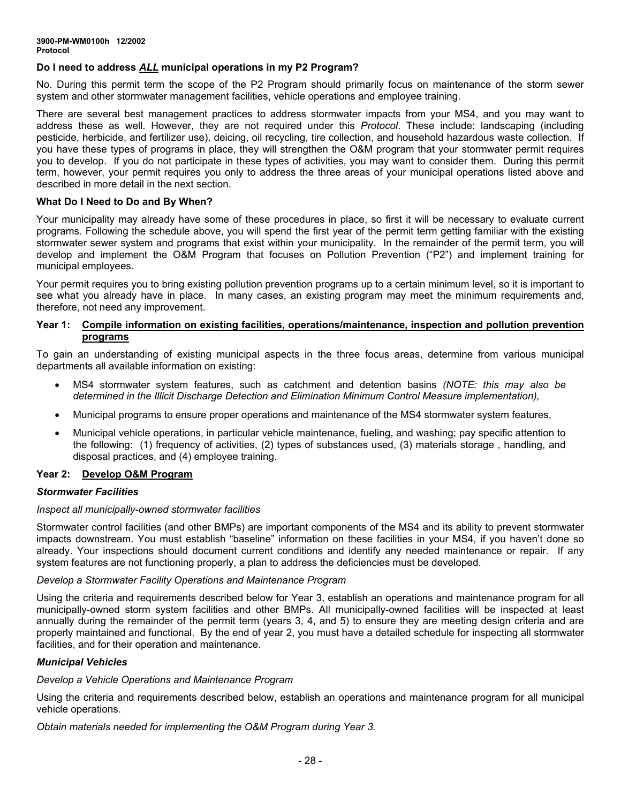#### **Do I need to address** *ALL* **municipal operations in my P2 Program?**

No. During this permit term the scope of the P2 Program should primarily focus on maintenance of the storm sewer system and other stormwater management facilities, vehicle operations and employee training.

There are several best management practices to address stormwater impacts from your MS4, and you may want to address these as well. However, they are not required under this *Protocol*. These include: landscaping (including pesticide, herbicide, and fertilizer use), deicing, oil recycling, tire collection, and household hazardous waste collection. If you have these types of programs in place, they will strengthen the O&M program that your stormwater permit requires you to develop. If you do not participate in these types of activities, you may want to consider them. During this permit term, however, your permit requires you only to address the three areas of your municipal operations listed above and described in more detail in the next section.

#### **What Do I Need to Do and By When?**

Your municipality may already have some of these procedures in place, so first it will be necessary to evaluate current programs. Following the schedule above, you will spend the first year of the permit term getting familiar with the existing stormwater sewer system and programs that exist within your municipality. In the remainder of the permit term, you will develop and implement the O&M Program that focuses on Pollution Prevention ("P2") and implement training for municipal employees.

Your permit requires you to bring existing pollution prevention programs up to a certain minimum level, so it is important to see what you already have in place. In many cases, an existing program may meet the minimum requirements and, therefore, not need any improvement.

#### **Year 1: Compile information on existing facilities, operations/maintenance, inspection and pollution prevention programs**

To gain an understanding of existing municipal aspects in the three focus areas, determine from various municipal departments all available information on existing:

- MS4 stormwater system features, such as catchment and detention basins *(NOTE: this may also be determined in the Illicit Discharge Detection and Elimination Minimum Control Measure implementation),*
- Municipal programs to ensure proper operations and maintenance of the MS4 stormwater system features,
- Municipal vehicle operations, in particular vehicle maintenance, fueling, and washing; pay specific attention to the following: (1) frequency of activities, (2) types of substances used, (3) materials storage , handling, and disposal practices, and (4) employee training.

#### **Year 2: Develop O&M Program**

#### *Stormwater Facilities*

#### *Inspect all municipally-owned stormwater facilities*

Stormwater control facilities (and other BMPs) are important components of the MS4 and its ability to prevent stormwater impacts downstream. You must establish "baseline" information on these facilities in your MS4, if you haven't done so already. Your inspections should document current conditions and identify any needed maintenance or repair. If any system features are not functioning properly, a plan to address the deficiencies must be developed.

#### *Develop a Stormwater Facility Operations and Maintenance Program*

Using the criteria and requirements described below for Year 3, establish an operations and maintenance program for all municipally-owned storm system facilities and other BMPs. All municipally-owned facilities will be inspected at least annually during the remainder of the permit term (years 3, 4, and 5) to ensure they are meeting design criteria and are properly maintained and functional. By the end of year 2, you must have a detailed schedule for inspecting all stormwater facilities, and for their operation and maintenance.

#### *Municipal Vehicles*

#### *Develop a Vehicle Operations and Maintenance Program*

Using the criteria and requirements described below, establish an operations and maintenance program for all municipal vehicle operations.

*Obtain materials needed for implementing the O&M Program during Year 3.*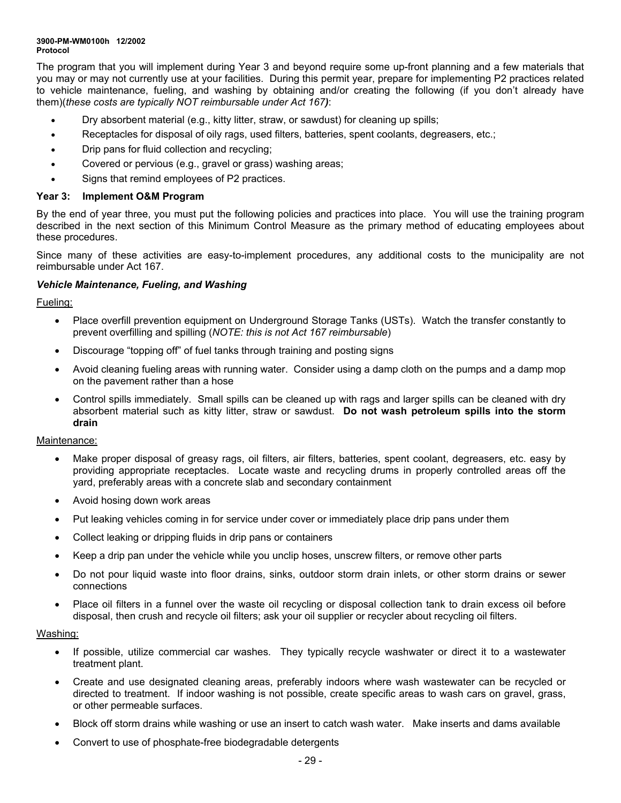#### **3900-PM-WM0100h 12/2002 Protocol**

The program that you will implement during Year 3 and beyond require some up-front planning and a few materials that you may or may not currently use at your facilities. During this permit year, prepare for implementing P2 practices related to vehicle maintenance, fueling, and washing by obtaining and/or creating the following (if you don't already have them)(*these costs are typically NOT reimbursable under Act 167)*:

- Dry absorbent material (e.g., kitty litter, straw, or sawdust) for cleaning up spills;
- Receptacles for disposal of oily rags, used filters, batteries, spent coolants, degreasers, etc.;
- Drip pans for fluid collection and recycling;
- Covered or pervious (e.g., gravel or grass) washing areas;
- Signs that remind employees of P2 practices.

#### **Year 3: Implement O&M Program**

By the end of year three, you must put the following policies and practices into place. You will use the training program described in the next section of this Minimum Control Measure as the primary method of educating employees about these procedures.

Since many of these activities are easy-to-implement procedures, any additional costs to the municipality are not reimbursable under Act 167.

#### *Vehicle Maintenance, Fueling, and Washing*

#### Fueling:

- Place overfill prevention equipment on Underground Storage Tanks (USTs). Watch the transfer constantly to prevent overfilling and spilling (*NOTE: this is not Act 167 reimbursable*)
- Discourage "topping off" of fuel tanks through training and posting signs
- Avoid cleaning fueling areas with running water. Consider using a damp cloth on the pumps and a damp mop on the pavement rather than a hose
- Control spills immediately. Small spills can be cleaned up with rags and larger spills can be cleaned with dry absorbent material such as kitty litter, straw or sawdust. **Do not wash petroleum spills into the storm drain**

#### Maintenance:

- Make proper disposal of greasy rags, oil filters, air filters, batteries, spent coolant, degreasers, etc. easy by providing appropriate receptacles. Locate waste and recycling drums in properly controlled areas off the yard, preferably areas with a concrete slab and secondary containment
- Avoid hosing down work areas
- Put leaking vehicles coming in for service under cover or immediately place drip pans under them
- Collect leaking or dripping fluids in drip pans or containers
- Keep a drip pan under the vehicle while you unclip hoses, unscrew filters, or remove other parts
- Do not pour liquid waste into floor drains, sinks, outdoor storm drain inlets, or other storm drains or sewer connections
- Place oil filters in a funnel over the waste oil recycling or disposal collection tank to drain excess oil before disposal, then crush and recycle oil filters; ask your oil supplier or recycler about recycling oil filters.

#### Washing:

- If possible, utilize commercial car washes. They typically recycle washwater or direct it to a wastewater treatment plant.
- Create and use designated cleaning areas, preferably indoors where wash wastewater can be recycled or directed to treatment. If indoor washing is not possible, create specific areas to wash cars on gravel, grass, or other permeable surfaces.
- Block off storm drains while washing or use an insert to catch wash water. Make inserts and dams available
- Convert to use of phosphate-free biodegradable detergents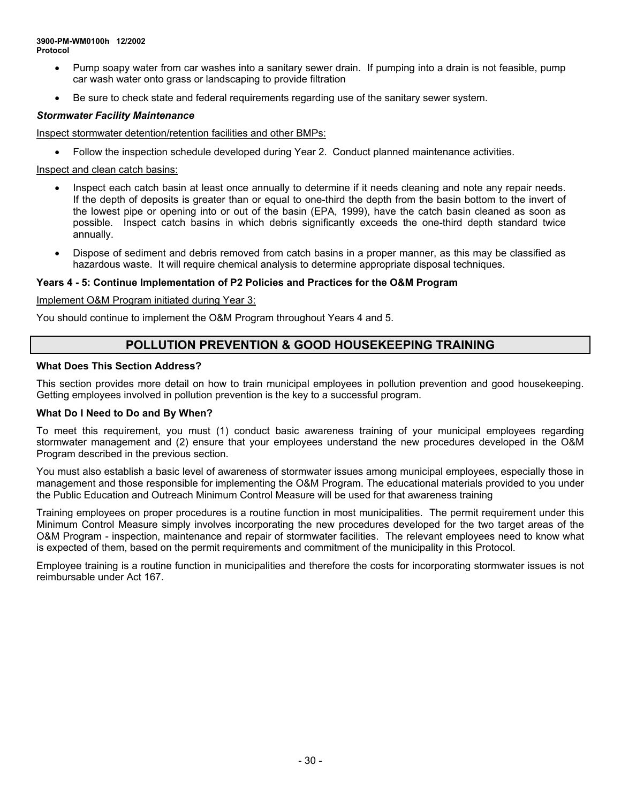- Pump soapy water from car washes into a sanitary sewer drain. If pumping into a drain is not feasible, pump car wash water onto grass or landscaping to provide filtration
- Be sure to check state and federal requirements regarding use of the sanitary sewer system.

#### *Stormwater Facility Maintenance*

Inspect stormwater detention/retention facilities and other BMPs:

• Follow the inspection schedule developed during Year 2. Conduct planned maintenance activities.

Inspect and clean catch basins:

- Inspect each catch basin at least once annually to determine if it needs cleaning and note any repair needs. If the depth of deposits is greater than or equal to one-third the depth from the basin bottom to the invert of the lowest pipe or opening into or out of the basin (EPA, 1999), have the catch basin cleaned as soon as possible. Inspect catch basins in which debris significantly exceeds the one-third depth standard twice annually.
- Dispose of sediment and debris removed from catch basins in a proper manner, as this may be classified as hazardous waste. It will require chemical analysis to determine appropriate disposal techniques.

#### **Years 4 - 5: Continue Implementation of P2 Policies and Practices for the O&M Program**

Implement O&M Program initiated during Year 3:

You should continue to implement the O&M Program throughout Years 4 and 5.

## **POLLUTION PREVENTION & GOOD HOUSEKEEPING TRAINING**

#### **What Does This Section Address?**

This section provides more detail on how to train municipal employees in pollution prevention and good housekeeping. Getting employees involved in pollution prevention is the key to a successful program.

#### **What Do I Need to Do and By When?**

To meet this requirement, you must (1) conduct basic awareness training of your municipal employees regarding stormwater management and (2) ensure that your employees understand the new procedures developed in the O&M Program described in the previous section.

You must also establish a basic level of awareness of stormwater issues among municipal employees, especially those in management and those responsible for implementing the O&M Program. The educational materials provided to you under the Public Education and Outreach Minimum Control Measure will be used for that awareness training

Training employees on proper procedures is a routine function in most municipalities. The permit requirement under this Minimum Control Measure simply involves incorporating the new procedures developed for the two target areas of the O&M Program - inspection, maintenance and repair of stormwater facilities. The relevant employees need to know what is expected of them, based on the permit requirements and commitment of the municipality in this Protocol.

Employee training is a routine function in municipalities and therefore the costs for incorporating stormwater issues is not reimbursable under Act 167.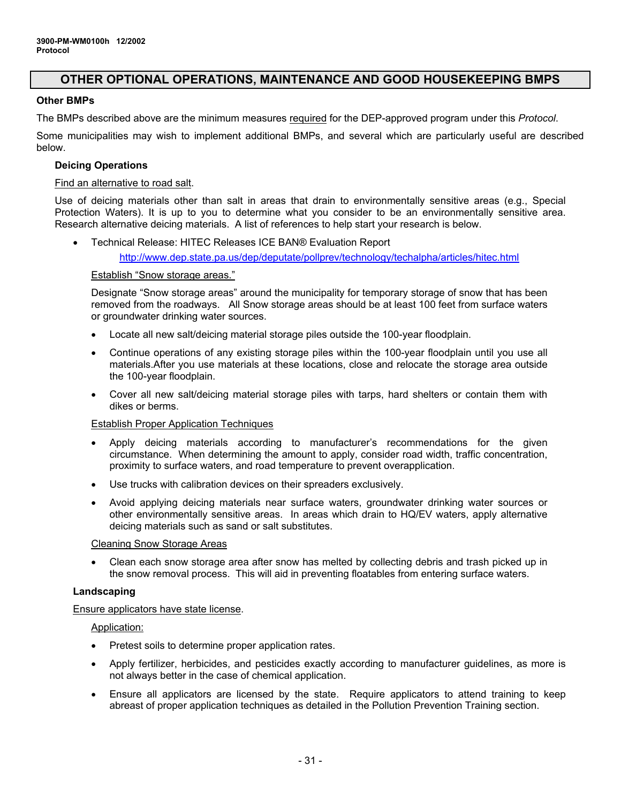# **OTHER OPTIONAL OPERATIONS, MAINTENANCE AND GOOD HOUSEKEEPING BMPS**

### **Other BMPs**

The BMPs described above are the minimum measures required for the DEP-approved program under this *Protocol*.

Some municipalities may wish to implement additional BMPs, and several which are particularly useful are described below.

#### **Deicing Operations**

#### Find an alternative to road salt.

Use of deicing materials other than salt in areas that drain to environmentally sensitive areas (e.g., Special Protection Waters). It is up to you to determine what you consider to be an environmentally sensitive area. Research alternative deicing materials. A list of references to help start your research is below.

• Technical Release: HITEC Releases ICE BAN® Evaluation Report

[http://www.dep.state.pa.us/dep/deputate/pollprev/technology/techalpha/articles/hitec.html](http://www.dep.state.pa.us/dep/deputate/polycomm/update/11-05-99/11059931.htm)

#### Establish "Snow storage areas."

Designate "Snow storage areas" around the municipality for temporary storage of snow that has been removed from the roadways. All Snow storage areas should be at least 100 feet from surface waters or groundwater drinking water sources.

- Locate all new salt/deicing material storage piles outside the 100-year floodplain.
- Continue operations of any existing storage piles within the 100-year floodplain until you use all materials.After you use materials at these locations, close and relocate the storage area outside the 100-year floodplain.
- Cover all new salt/deicing material storage piles with tarps, hard shelters or contain them with dikes or berms.

#### Establish Proper Application Techniques

- Apply deicing materials according to manufacturer's recommendations for the given circumstance. When determining the amount to apply, consider road width, traffic concentration, proximity to surface waters, and road temperature to prevent overapplication.
- Use trucks with calibration devices on their spreaders exclusively.
- Avoid applying deicing materials near surface waters, groundwater drinking water sources or other environmentally sensitive areas. In areas which drain to HQ/EV waters, apply alternative deicing materials such as sand or salt substitutes.

#### Cleaning Snow Storage Areas

• Clean each snow storage area after snow has melted by collecting debris and trash picked up in the snow removal process. This will aid in preventing floatables from entering surface waters.

#### **Landscaping**

#### Ensure applicators have state license.

#### Application:

- Pretest soils to determine proper application rates.
- Apply fertilizer, herbicides, and pesticides exactly according to manufacturer guidelines, as more is not always better in the case of chemical application.
- Ensure all applicators are licensed by the state. Require applicators to attend training to keep abreast of proper application techniques as detailed in the Pollution Prevention Training section.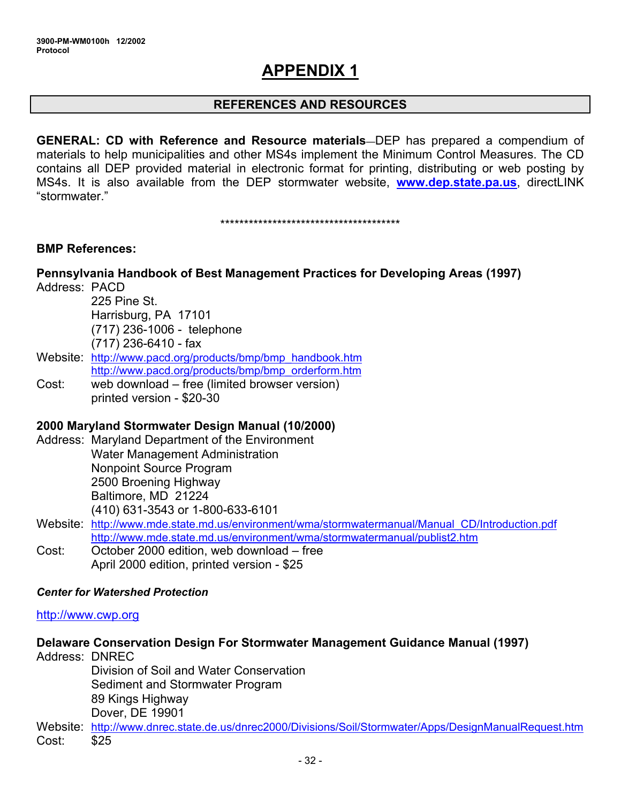# **APPENDIX 1**

# **REFERENCES AND RESOURCES**

**GENERAL: CD with Reference and Resource materials**—DEP has prepared a compendium of materials to help municipalities and other MS4s implement the Minimum Control Measures. The CD contains all DEP provided material in electronic format for printing, distributing or web posting by MS4s. It is also available from the DEP stormwater website, **[www.dep.state.pa.us](http://www.dep.state.pa.us/)**, directLINK "stormwater."

\*\*\*\*\*\*\*\*\*\*\*\*\*\*\*\*\*\*\*\*\*\*\*\*\*\*\*\*\*\*\*\*\*\*\*\*\*\*

## **BMP References:**

# **Pennsylvania Handbook of Best Management Practices for Developing Areas (1997)**

Address: PACD

 225 Pine St. Harrisburg, PA 17101 (717) 236-1006 - telephone (717) 236-6410 - fax

- Website: [http://www.pacd.org/products/bmp/bmp\\_handbook.htm](http://www.pacd.org/products/bmp/bmp_handbook.htm) [http://www.pacd.org/products/bmp/bmp\\_orderform.htm](http://www.pacd.org/products/bmp/bmp_orderform.htm)
- Cost: web download free (limited browser version) printed version - \$20-30

## **2000 Maryland Stormwater Design Manual (10/2000)**

- Address: Maryland Department of the Environment Water Management Administration Nonpoint Source Program 2500 Broening Highway Baltimore, MD 21224 (410) 631-3543 or 1-800-633-6101
- Website: http://www.mde.state.md.us/environment/wma/stormwatermanual/Manual CD/Introduction.pdf <http://www.mde.state.md.us/environment/wma/stormwatermanual/publist2.htm>
- Cost: October 2000 edition, web download free April 2000 edition, printed version - \$25

## *Center for Watershed Protection*

#### [http://www.cwp.org](http://www.cwp.org/)

## **Delaware Conservation Design For Stormwater Management Guidance Manual (1997)**

Address: DNREC

 Division of Soil and Water Conservation Sediment and Stormwater Program 89 Kings Highway Dover, DE 19901

Website: <http://www.dnrec.state.de.us/dnrec2000/Divisions/Soil/Stormwater/Apps/DesignManualRequest.htm> Cost: \$25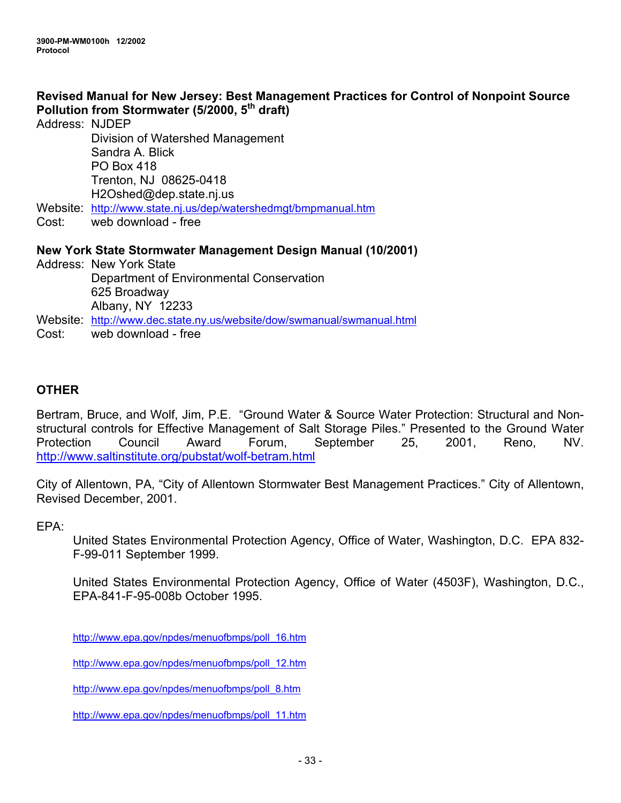# **Revised Manual for New Jersey: Best Management Practices for Control of Nonpoint Source Pollution from Stormwater (5/2000, 5th draft)**

Address: NJDEP

 Division of Watershed Management Sandra A. Blick PO Box 418 Trenton, NJ 08625-0418 H2Oshed@dep.state.nj.us

Website: <http://www.state.nj.us/dep/watershedmgt/bmpmanual.htm>

Cost: web download - free

# **New York State Stormwater Management Design Manual (10/2001)**

Address: New York State Department of Environmental Conservation 625 Broadway Albany, NY 12233

Website: <http://www.dec.state.ny.us/website/dow/swmanual/swmanual.html>

Cost: web download - free

# **OTHER**

Bertram, Bruce, and Wolf, Jim, P.E. "Ground Water & Source Water Protection: Structural and Nonstructural controls for Effective Management of Salt Storage Piles." Presented to the Ground Water Protection Council Award Forum, September 25, 2001, Reno, NV. <http://www.saltinstitute.org/pubstat/wolf-betram.html>

City of Allentown, PA, "City of Allentown Stormwater Best Management Practices." City of Allentown, Revised December, 2001.

# EPA:

United States Environmental Protection Agency, Office of Water, Washington, D.C. EPA 832- F-99-011 September 1999.

United States Environmental Protection Agency, Office of Water (4503F), Washington, D.C., EPA-841-F-95-008b October 1995.

[http://www.epa.gov/npdes/menuofbmps/poll\\_16.htm](http://www.epa.gov/npdes/menuofbmps/poll_16.htm)

[http://www.epa.gov/npdes/menuofbmps/poll\\_12.htm](http://www.epa.gov/npdes/menuofbmps/poll_12.htm)

[http://www.epa.gov/npdes/menuofbmps/poll\\_8.htm](http://www.epa.gov/npdes/menuofbmps/poll_8.htm) 

[http://www.epa.gov/npdes/menuofbmps/poll\\_11.htm](http://www.epa.gov/npdes/menuofbmps/poll_11.htm)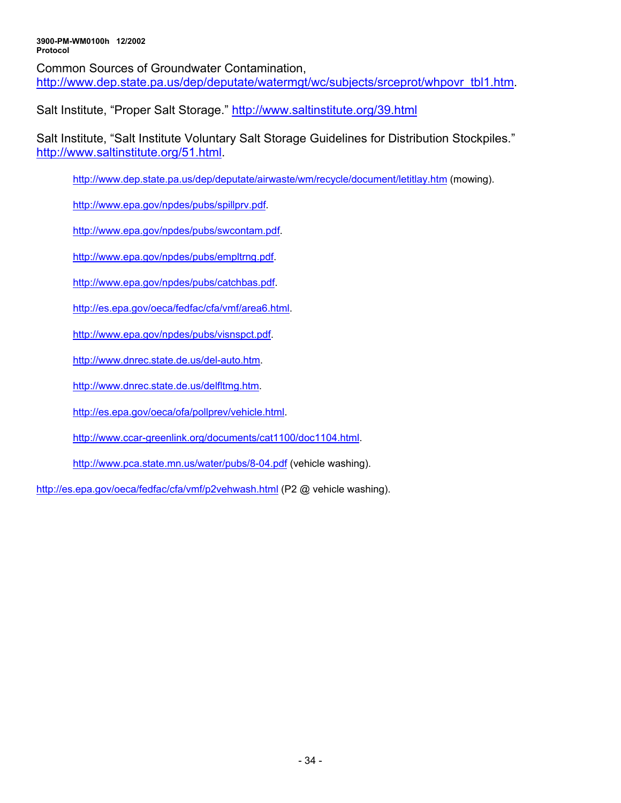Common Sources of Groundwater Contamination, [http://www.dep.state.pa.us/dep/deputate/watermgt/wc/subjects/srceprot/whpovr\\_tbl1.htm.](http://www.dep.state.pa.us/dep/deputate/watermgt/wc/subjects/srceprot/whpovr_tbl1.htm)

Salt Institute, "Proper Salt Storage." <http://www.saltinstitute.org/39.html>

Salt Institute, "Salt Institute Voluntary Salt Storage Guidelines for Distribution Stockpiles." [http://www.saltinstitute.org/51.html.](http://www.saltinstitute.org/51.html)

<http://www.dep.state.pa.us/dep/deputate/airwaste/wm/recycle/document/letitlay.htm> (mowing).

<http://www.epa.gov/npdes/pubs/spillprv.pdf>.

<http://www.epa.gov/npdes/pubs/swcontam.pdf>.

[http://www.epa.gov/npdes/pubs/empltrng.pdf.](http://www.epa.gov/npdes/pubs/empltrng.pdf)

<http://www.epa.gov/npdes/pubs/catchbas.pdf>.

[http://es.epa.gov/oeca/fedfac/cfa/vmf/area6.html.](http://es.epa.gov/oeca/fedfac/cfa/vmf/area6.html)

<http://www.epa.gov/npdes/pubs/visnspct.pdf>.

[http://www.dnrec.state.de.us/del-auto.htm.](http://www.dnrec.state.de.us/del-auto.htm)

<http://www.dnrec.state.de.us/delfltmg.htm>.

<http://es.epa.gov/oeca/ofa/pollprev/vehicle.html>.

<http://www.ccar-greenlink.org/documents/cat1100/doc1104.html>.

<http://www.pca.state.mn.us/water/pubs/8-04.pdf> (vehicle washing).

<http://es.epa.gov/oeca/fedfac/cfa/vmf/p2vehwash.html>(P2 @ vehicle washing).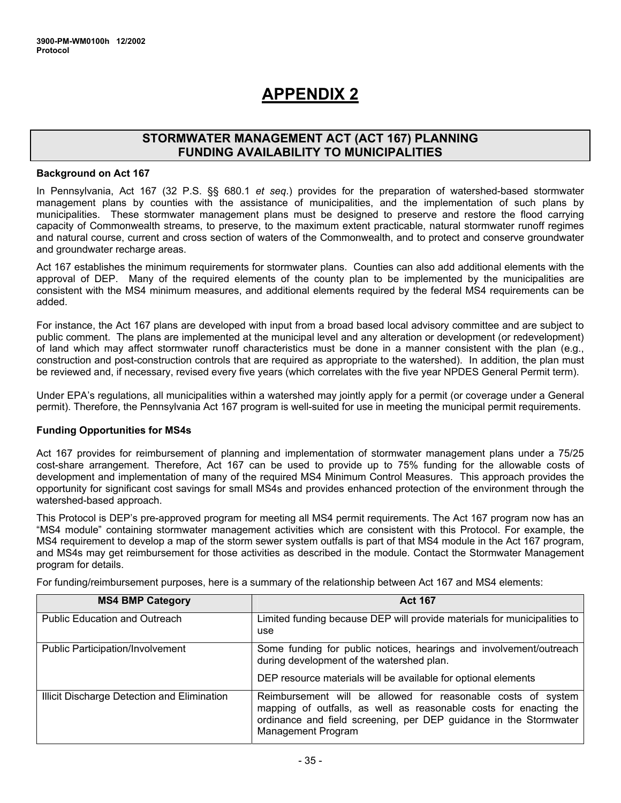# **APPENDIX 2**

### **STORMWATER MANAGEMENT ACT (ACT 167) PLANNING FUNDING AVAILABILITY TO MUNICIPALITIES**

#### **Background on Act 167**

In Pennsylvania, Act 167 (32 P.S. §§ 680.1 *et seq*.) provides for the preparation of watershed-based stormwater management plans by counties with the assistance of municipalities, and the implementation of such plans by municipalities. These stormwater management plans must be designed to preserve and restore the flood carrying capacity of Commonwealth streams, to preserve, to the maximum extent practicable, natural stormwater runoff regimes and natural course, current and cross section of waters of the Commonwealth, and to protect and conserve groundwater and groundwater recharge areas.

Act 167 establishes the minimum requirements for stormwater plans. Counties can also add additional elements with the approval of DEP. Many of the required elements of the county plan to be implemented by the municipalities are consistent with the MS4 minimum measures, and additional elements required by the federal MS4 requirements can be added.

For instance, the Act 167 plans are developed with input from a broad based local advisory committee and are subject to public comment. The plans are implemented at the municipal level and any alteration or development (or redevelopment) of land which may affect stormwater runoff characteristics must be done in a manner consistent with the plan (e.g., construction and post-construction controls that are required as appropriate to the watershed). In addition, the plan must be reviewed and, if necessary, revised every five years (which correlates with the five year NPDES General Permit term).

Under EPA's regulations, all municipalities within a watershed may jointly apply for a permit (or coverage under a General permit). Therefore, the Pennsylvania Act 167 program is well-suited for use in meeting the municipal permit requirements.

#### **Funding Opportunities for MS4s**

Act 167 provides for reimbursement of planning and implementation of stormwater management plans under a 75/25 cost-share arrangement. Therefore, Act 167 can be used to provide up to 75% funding for the allowable costs of development and implementation of many of the required MS4 Minimum Control Measures. This approach provides the opportunity for significant cost savings for small MS4s and provides enhanced protection of the environment through the watershed-based approach.

This Protocol is DEP's pre-approved program for meeting all MS4 permit requirements. The Act 167 program now has an "MS4 module" containing stormwater management activities which are consistent with this Protocol. For example, the MS4 requirement to develop a map of the storm sewer system outfalls is part of that MS4 module in the Act 167 program, and MS4s may get reimbursement for those activities as described in the module. Contact the Stormwater Management program for details.

For funding/reimbursement purposes, here is a summary of the relationship between Act 167 and MS4 elements:

| <b>MS4 BMP Category</b>                     | <b>Act 167</b>                                                                                                                                                                                                               |
|---------------------------------------------|------------------------------------------------------------------------------------------------------------------------------------------------------------------------------------------------------------------------------|
| <b>Public Education and Outreach</b>        | Limited funding because DEP will provide materials for municipalities to<br>use                                                                                                                                              |
| <b>Public Participation/Involvement</b>     | Some funding for public notices, hearings and involvement/outreach<br>during development of the watershed plan.<br>DEP resource materials will be available for optional elements                                            |
| Illicit Discharge Detection and Elimination | Reimbursement will be allowed for reasonable costs of system<br>mapping of outfalls, as well as reasonable costs for enacting the<br>ordinance and field screening, per DEP guidance in the Stormwater<br>Management Program |